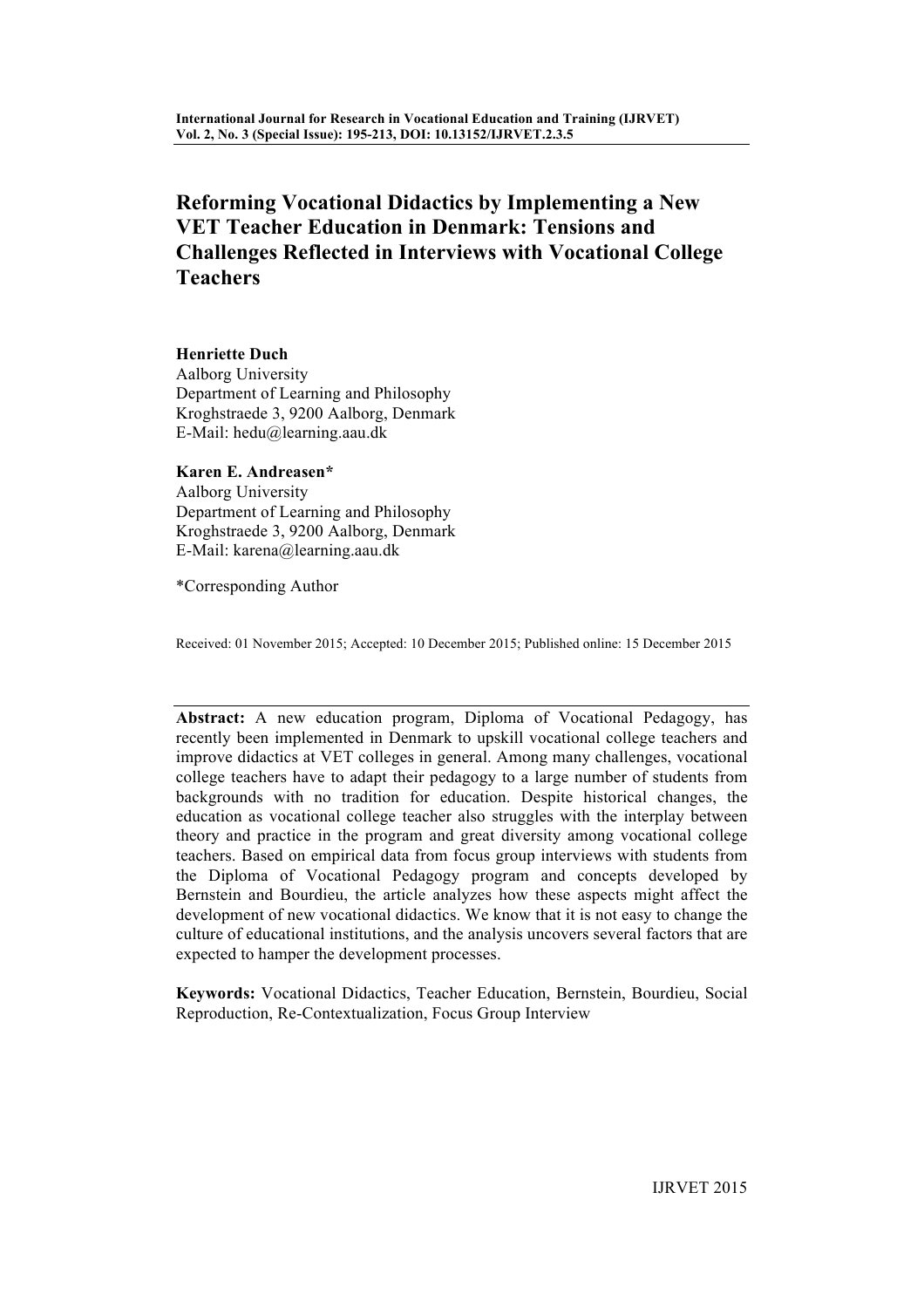# **Reforming Vocational Didactics by Implementing a New VET Teacher Education in Denmark: Tensions and Challenges Reflected in Interviews with Vocational College Teachers**

**Henriette Duch** Aalborg University Department of Learning and Philosophy Kroghstraede 3, 9200 Aalborg, Denmark E-Mail: hedu@learning.aau.dk

**Karen E. Andreasen\***

Aalborg University Department of Learning and Philosophy Kroghstraede 3, 9200 Aalborg, Denmark E-Mail: karena@learning.aau.dk

\*Corresponding Author

Received: 01 November 2015; Accepted: 10 December 2015; Published online: 15 December 2015

**Abstract:** A new education program, Diploma of Vocational Pedagogy, has recently been implemented in Denmark to upskill vocational college teachers and improve didactics at VET colleges in general. Among many challenges, vocational college teachers have to adapt their pedagogy to a large number of students from backgrounds with no tradition for education. Despite historical changes, the education as vocational college teacher also struggles with the interplay between theory and practice in the program and great diversity among vocational college teachers. Based on empirical data from focus group interviews with students from the Diploma of Vocational Pedagogy program and concepts developed by Bernstein and Bourdieu, the article analyzes how these aspects might affect the development of new vocational didactics. We know that it is not easy to change the culture of educational institutions, and the analysis uncovers several factors that are expected to hamper the development processes.

**Keywords:** Vocational Didactics, Teacher Education, Bernstein, Bourdieu, Social Reproduction, Re-Contextualization, Focus Group Interview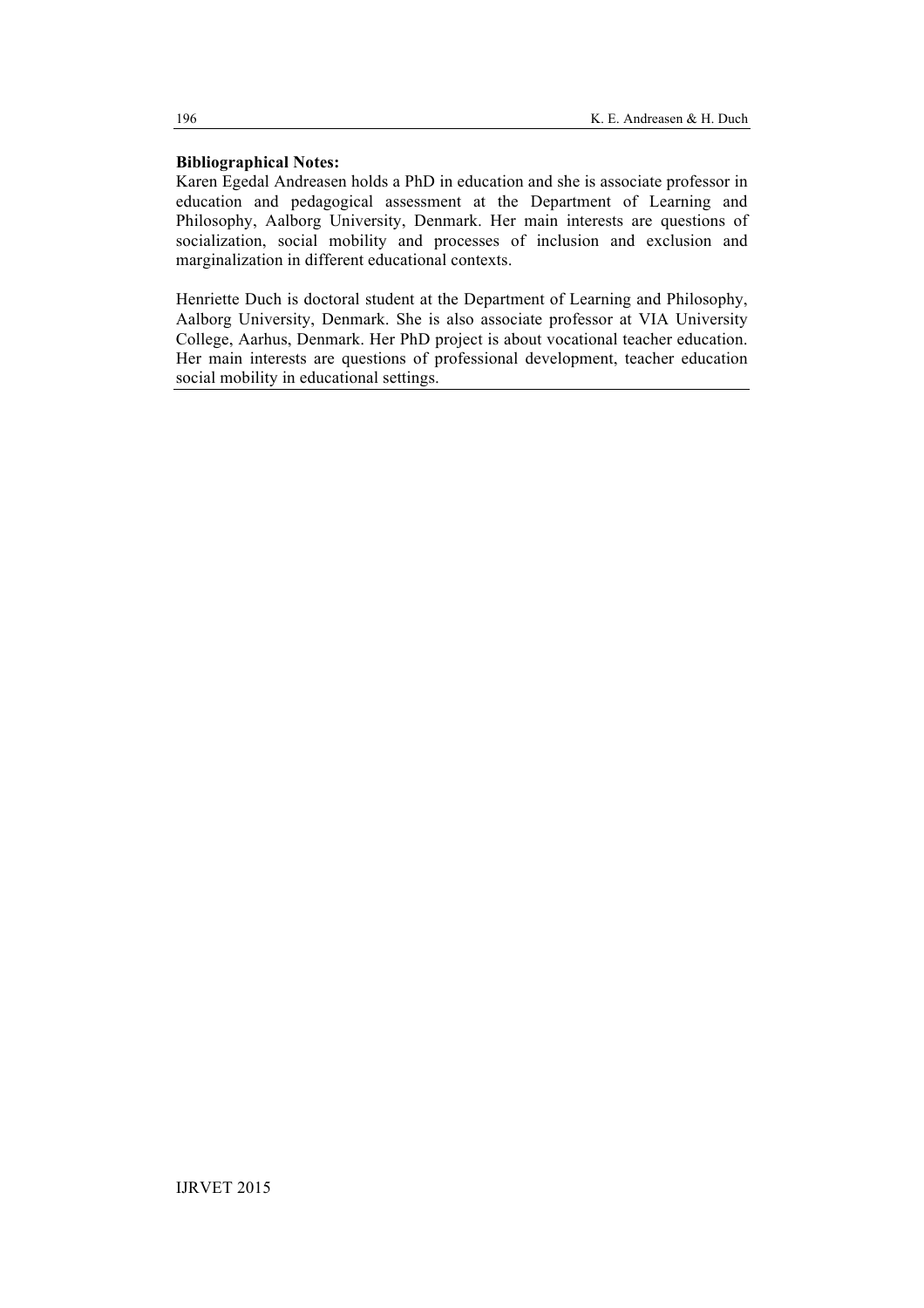# **Bibliographical Notes:**

Karen Egedal Andreasen holds a PhD in education and she is associate professor in education and pedagogical assessment at the Department of Learning and Philosophy, Aalborg University, Denmark. Her main interests are questions of socialization, social mobility and processes of inclusion and exclusion and marginalization in different educational contexts.

Henriette Duch is doctoral student at the Department of Learning and Philosophy, Aalborg University, Denmark. She is also associate professor at VIA University College, Aarhus, Denmark. Her PhD project is about vocational teacher education. Her main interests are questions of professional development, teacher education social mobility in educational settings.

196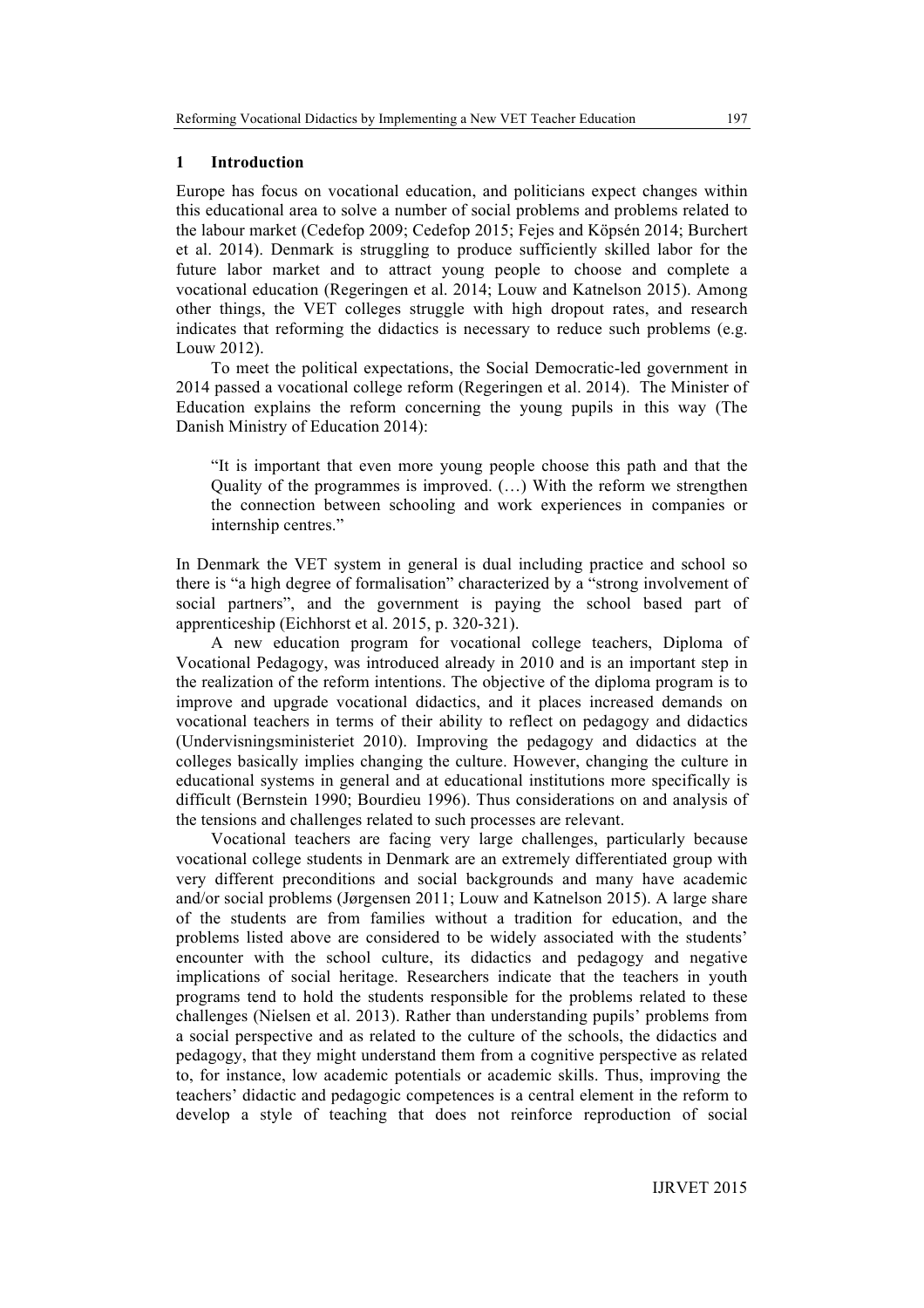#### **1 Introduction**

Europe has focus on vocational education, and politicians expect changes within this educational area to solve a number of social problems and problems related to the labour market (Cedefop 2009; Cedefop 2015; Fejes and Köpsén 2014; Burchert et al. 2014). Denmark is struggling to produce sufficiently skilled labor for the future labor market and to attract young people to choose and complete a vocational education (Regeringen et al. 2014; Louw and Katnelson 2015). Among other things, the VET colleges struggle with high dropout rates, and research indicates that reforming the didactics is necessary to reduce such problems (e.g. Louw 2012).

To meet the political expectations, the Social Democratic-led government in 2014 passed a vocational college reform (Regeringen et al. 2014). The Minister of Education explains the reform concerning the young pupils in this way (The Danish Ministry of Education 2014):

"It is important that even more young people choose this path and that the Quality of the programmes is improved. (…) With the reform we strengthen the connection between schooling and work experiences in companies or internship centres."

In Denmark the VET system in general is dual including practice and school so there is "a high degree of formalisation" characterized by a "strong involvement of social partners", and the government is paying the school based part of apprenticeship (Eichhorst et al. 2015, p. 320-321).

A new education program for vocational college teachers, Diploma of Vocational Pedagogy, was introduced already in 2010 and is an important step in the realization of the reform intentions. The objective of the diploma program is to improve and upgrade vocational didactics, and it places increased demands on vocational teachers in terms of their ability to reflect on pedagogy and didactics (Undervisningsministeriet 2010). Improving the pedagogy and didactics at the colleges basically implies changing the culture. However, changing the culture in educational systems in general and at educational institutions more specifically is difficult (Bernstein 1990; Bourdieu 1996). Thus considerations on and analysis of the tensions and challenges related to such processes are relevant.

Vocational teachers are facing very large challenges, particularly because vocational college students in Denmark are an extremely differentiated group with very different preconditions and social backgrounds and many have academic and/or social problems (Jørgensen 2011; Louw and Katnelson 2015). A large share of the students are from families without a tradition for education, and the problems listed above are considered to be widely associated with the students' encounter with the school culture, its didactics and pedagogy and negative implications of social heritage. Researchers indicate that the teachers in youth programs tend to hold the students responsible for the problems related to these challenges (Nielsen et al. 2013). Rather than understanding pupils' problems from a social perspective and as related to the culture of the schools, the didactics and pedagogy, that they might understand them from a cognitive perspective as related to, for instance, low academic potentials or academic skills. Thus, improving the teachers' didactic and pedagogic competences is a central element in the reform to develop a style of teaching that does not reinforce reproduction of social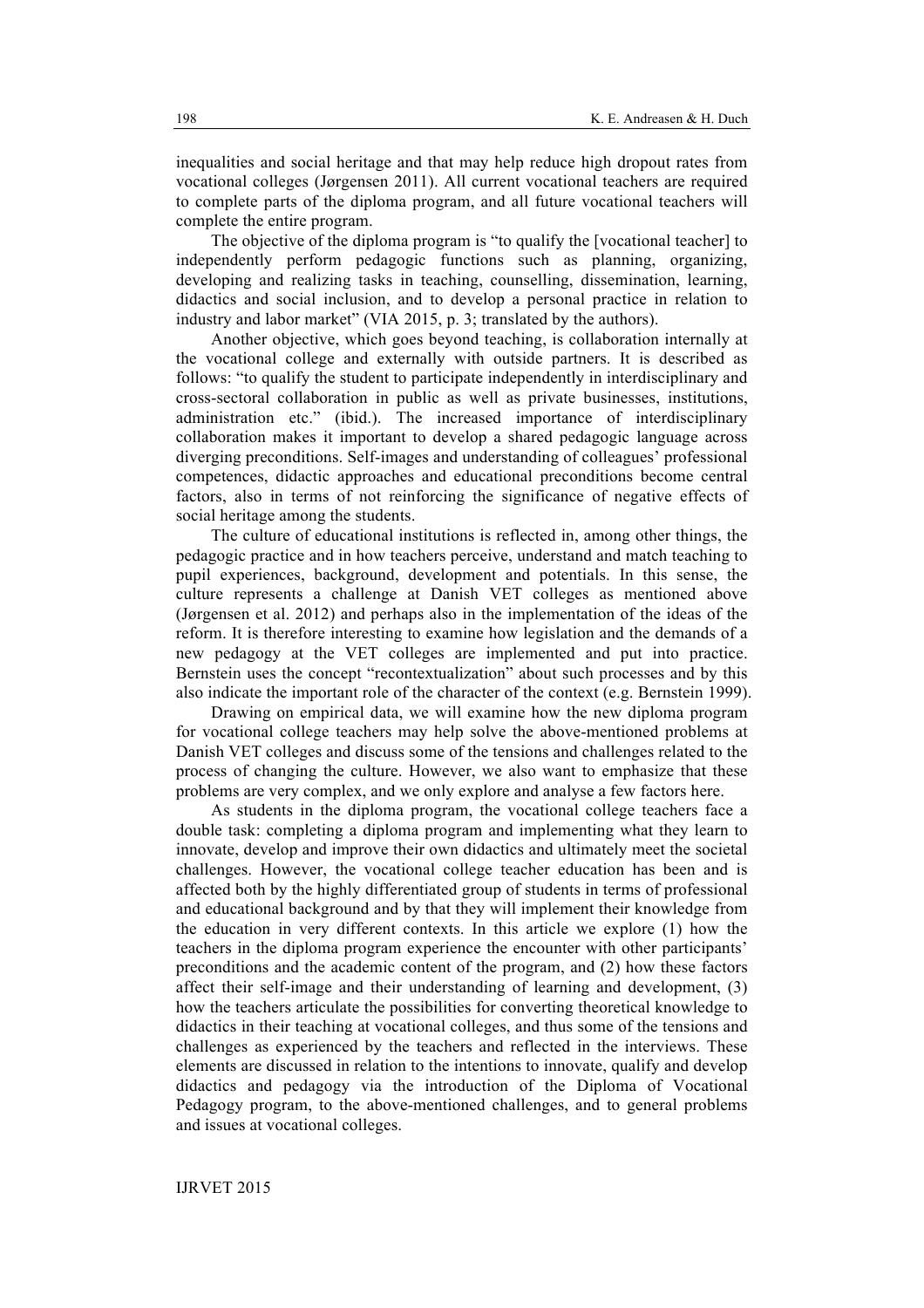inequalities and social heritage and that may help reduce high dropout rates from vocational colleges (Jørgensen 2011). All current vocational teachers are required to complete parts of the diploma program, and all future vocational teachers will complete the entire program.

The objective of the diploma program is "to qualify the [vocational teacher] to independently perform pedagogic functions such as planning, organizing, developing and realizing tasks in teaching, counselling, dissemination, learning, didactics and social inclusion, and to develop a personal practice in relation to industry and labor market" (VIA 2015, p. 3; translated by the authors).

Another objective, which goes beyond teaching, is collaboration internally at the vocational college and externally with outside partners. It is described as follows: "to qualify the student to participate independently in interdisciplinary and cross-sectoral collaboration in public as well as private businesses, institutions, administration etc." (ibid.). The increased importance of interdisciplinary collaboration makes it important to develop a shared pedagogic language across diverging preconditions. Self-images and understanding of colleagues' professional competences, didactic approaches and educational preconditions become central factors, also in terms of not reinforcing the significance of negative effects of social heritage among the students.

The culture of educational institutions is reflected in, among other things, the pedagogic practice and in how teachers perceive, understand and match teaching to pupil experiences, background, development and potentials. In this sense, the culture represents a challenge at Danish VET colleges as mentioned above (Jørgensen et al. 2012) and perhaps also in the implementation of the ideas of the reform. It is therefore interesting to examine how legislation and the demands of a new pedagogy at the VET colleges are implemented and put into practice. Bernstein uses the concept "recontextualization" about such processes and by this also indicate the important role of the character of the context (e.g. Bernstein 1999).

Drawing on empirical data, we will examine how the new diploma program for vocational college teachers may help solve the above-mentioned problems at Danish VET colleges and discuss some of the tensions and challenges related to the process of changing the culture. However, we also want to emphasize that these problems are very complex, and we only explore and analyse a few factors here.

As students in the diploma program, the vocational college teachers face a double task: completing a diploma program and implementing what they learn to innovate, develop and improve their own didactics and ultimately meet the societal challenges. However, the vocational college teacher education has been and is affected both by the highly differentiated group of students in terms of professional and educational background and by that they will implement their knowledge from the education in very different contexts. In this article we explore (1) how the teachers in the diploma program experience the encounter with other participants' preconditions and the academic content of the program, and (2) how these factors affect their self-image and their understanding of learning and development, (3) how the teachers articulate the possibilities for converting theoretical knowledge to didactics in their teaching at vocational colleges, and thus some of the tensions and challenges as experienced by the teachers and reflected in the interviews. These elements are discussed in relation to the intentions to innovate, qualify and develop didactics and pedagogy via the introduction of the Diploma of Vocational Pedagogy program, to the above-mentioned challenges, and to general problems and issues at vocational colleges.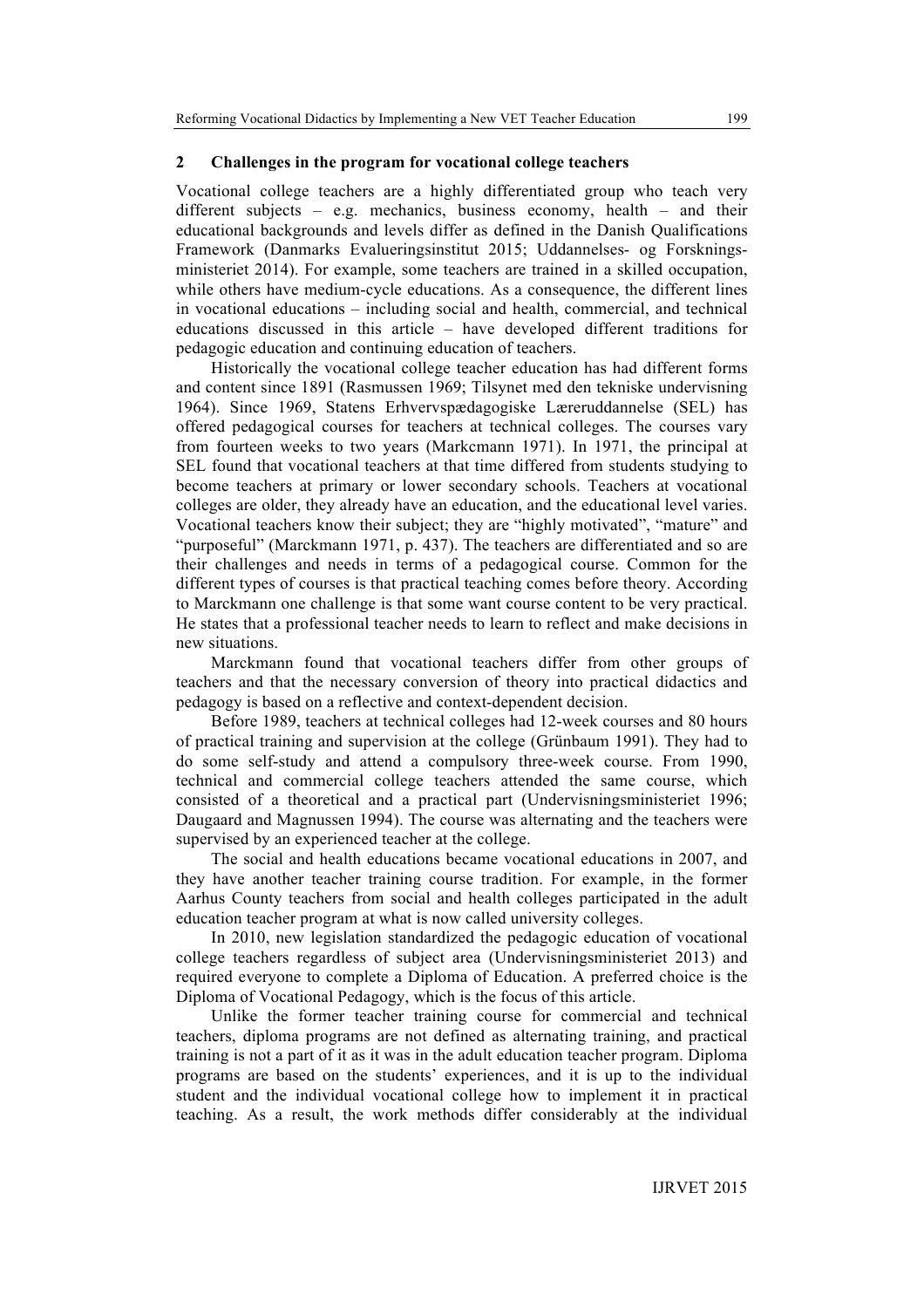#### **2 Challenges in the program for vocational college teachers**

Vocational college teachers are a highly differentiated group who teach very different subjects – e.g. mechanics, business economy, health – and their educational backgrounds and levels differ as defined in the Danish Qualifications Framework (Danmarks Evalueringsinstitut 2015; Uddannelses- og Forskningsministeriet 2014). For example, some teachers are trained in a skilled occupation, while others have medium-cycle educations. As a consequence, the different lines in vocational educations – including social and health, commercial, and technical educations discussed in this article – have developed different traditions for pedagogic education and continuing education of teachers.

Historically the vocational college teacher education has had different forms and content since 1891 (Rasmussen 1969; Tilsynet med den tekniske undervisning 1964). Since 1969, Statens Erhvervspædagogiske Læreruddannelse (SEL) has offered pedagogical courses for teachers at technical colleges. The courses vary from fourteen weeks to two years (Markcmann 1971). In 1971, the principal at SEL found that vocational teachers at that time differed from students studying to become teachers at primary or lower secondary schools. Teachers at vocational colleges are older, they already have an education, and the educational level varies. Vocational teachers know their subject; they are "highly motivated", "mature" and "purposeful" (Marckmann 1971, p. 437). The teachers are differentiated and so are their challenges and needs in terms of a pedagogical course. Common for the different types of courses is that practical teaching comes before theory. According to Marckmann one challenge is that some want course content to be very practical. He states that a professional teacher needs to learn to reflect and make decisions in new situations.

Marckmann found that vocational teachers differ from other groups of teachers and that the necessary conversion of theory into practical didactics and pedagogy is based on a reflective and context-dependent decision.

Before 1989, teachers at technical colleges had 12-week courses and 80 hours of practical training and supervision at the college (Grünbaum 1991). They had to do some self-study and attend a compulsory three-week course. From 1990, technical and commercial college teachers attended the same course, which consisted of a theoretical and a practical part (Undervisningsministeriet 1996; Daugaard and Magnussen 1994). The course was alternating and the teachers were supervised by an experienced teacher at the college.

The social and health educations became vocational educations in 2007, and they have another teacher training course tradition. For example, in the former Aarhus County teachers from social and health colleges participated in the adult education teacher program at what is now called university colleges.

In 2010, new legislation standardized the pedagogic education of vocational college teachers regardless of subject area (Undervisningsministeriet 2013) and required everyone to complete a Diploma of Education. A preferred choice is the Diploma of Vocational Pedagogy, which is the focus of this article.

Unlike the former teacher training course for commercial and technical teachers, diploma programs are not defined as alternating training, and practical training is not a part of it as it was in the adult education teacher program. Diploma programs are based on the students' experiences, and it is up to the individual student and the individual vocational college how to implement it in practical teaching. As a result, the work methods differ considerably at the individual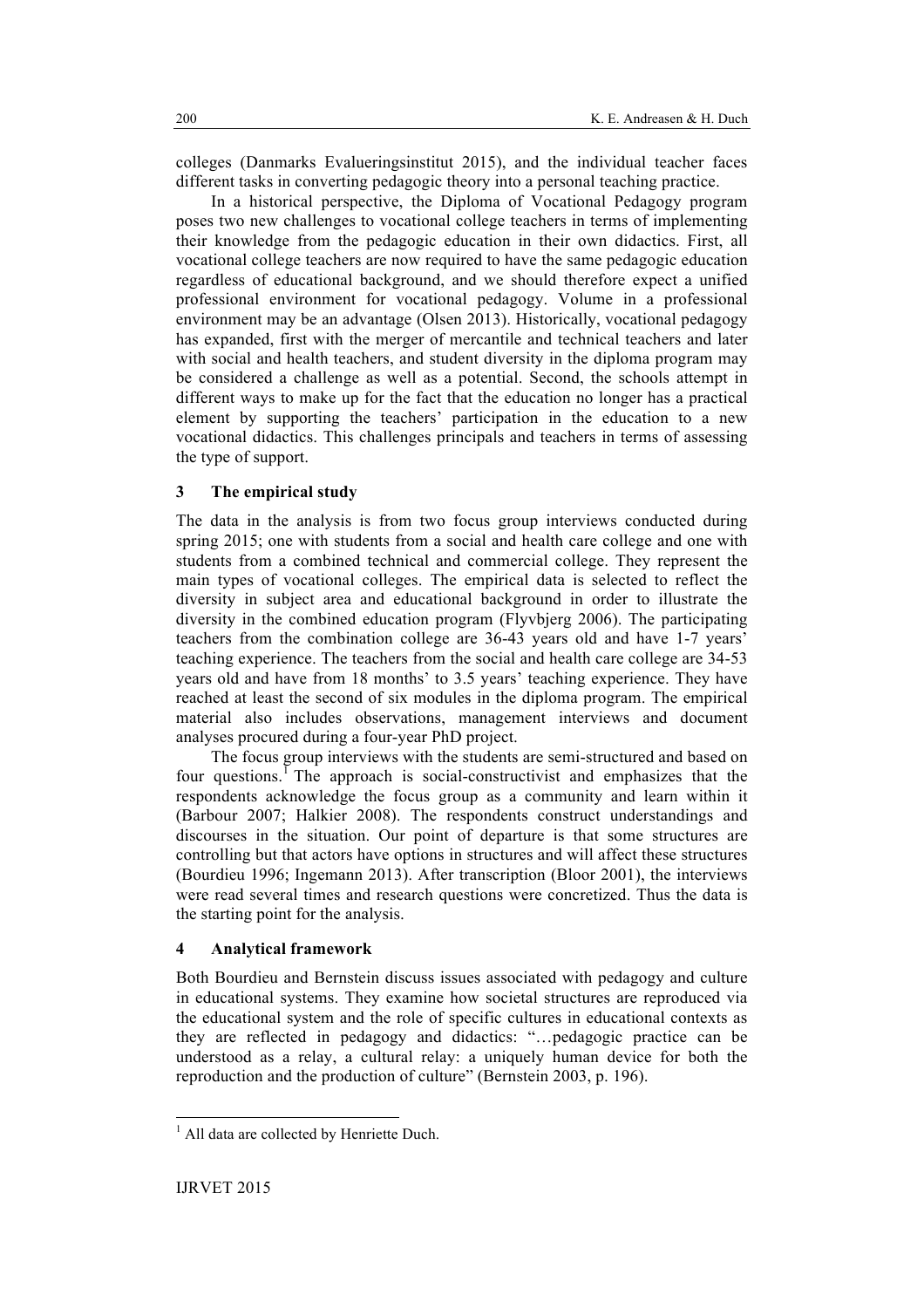colleges (Danmarks Evalueringsinstitut 2015), and the individual teacher faces different tasks in converting pedagogic theory into a personal teaching practice.

In a historical perspective, the Diploma of Vocational Pedagogy program poses two new challenges to vocational college teachers in terms of implementing their knowledge from the pedagogic education in their own didactics. First, all vocational college teachers are now required to have the same pedagogic education regardless of educational background, and we should therefore expect a unified professional environment for vocational pedagogy. Volume in a professional environment may be an advantage (Olsen 2013). Historically, vocational pedagogy has expanded, first with the merger of mercantile and technical teachers and later with social and health teachers, and student diversity in the diploma program may be considered a challenge as well as a potential. Second, the schools attempt in different ways to make up for the fact that the education no longer has a practical element by supporting the teachers' participation in the education to a new vocational didactics. This challenges principals and teachers in terms of assessing the type of support.

# **3 The empirical study**

The data in the analysis is from two focus group interviews conducted during spring 2015; one with students from a social and health care college and one with students from a combined technical and commercial college. They represent the main types of vocational colleges. The empirical data is selected to reflect the diversity in subject area and educational background in order to illustrate the diversity in the combined education program (Flyvbjerg 2006). The participating teachers from the combination college are 36-43 years old and have 1-7 years' teaching experience. The teachers from the social and health care college are 34-53 years old and have from 18 months' to 3.5 years' teaching experience. They have reached at least the second of six modules in the diploma program. The empirical material also includes observations, management interviews and document analyses procured during a four-year PhD project.

The focus group interviews with the students are semi-structured and based on four questions.<sup> $\overline{1}$ </sup> The approach is social-constructivist and emphasizes that the respondents acknowledge the focus group as a community and learn within it (Barbour 2007; Halkier 2008). The respondents construct understandings and discourses in the situation. Our point of departure is that some structures are controlling but that actors have options in structures and will affect these structures (Bourdieu 1996; Ingemann 2013). After transcription (Bloor 2001), the interviews were read several times and research questions were concretized. Thus the data is the starting point for the analysis.

## **4 Analytical framework**

Both Bourdieu and Bernstein discuss issues associated with pedagogy and culture in educational systems. They examine how societal structures are reproduced via the educational system and the role of specific cultures in educational contexts as they are reflected in pedagogy and didactics: "…pedagogic practice can be understood as a relay, a cultural relay: a uniquely human device for both the reproduction and the production of culture" (Bernstein 2003, p. 196).

<sup>&</sup>lt;sup>1</sup> All data are collected by Henriette Duch.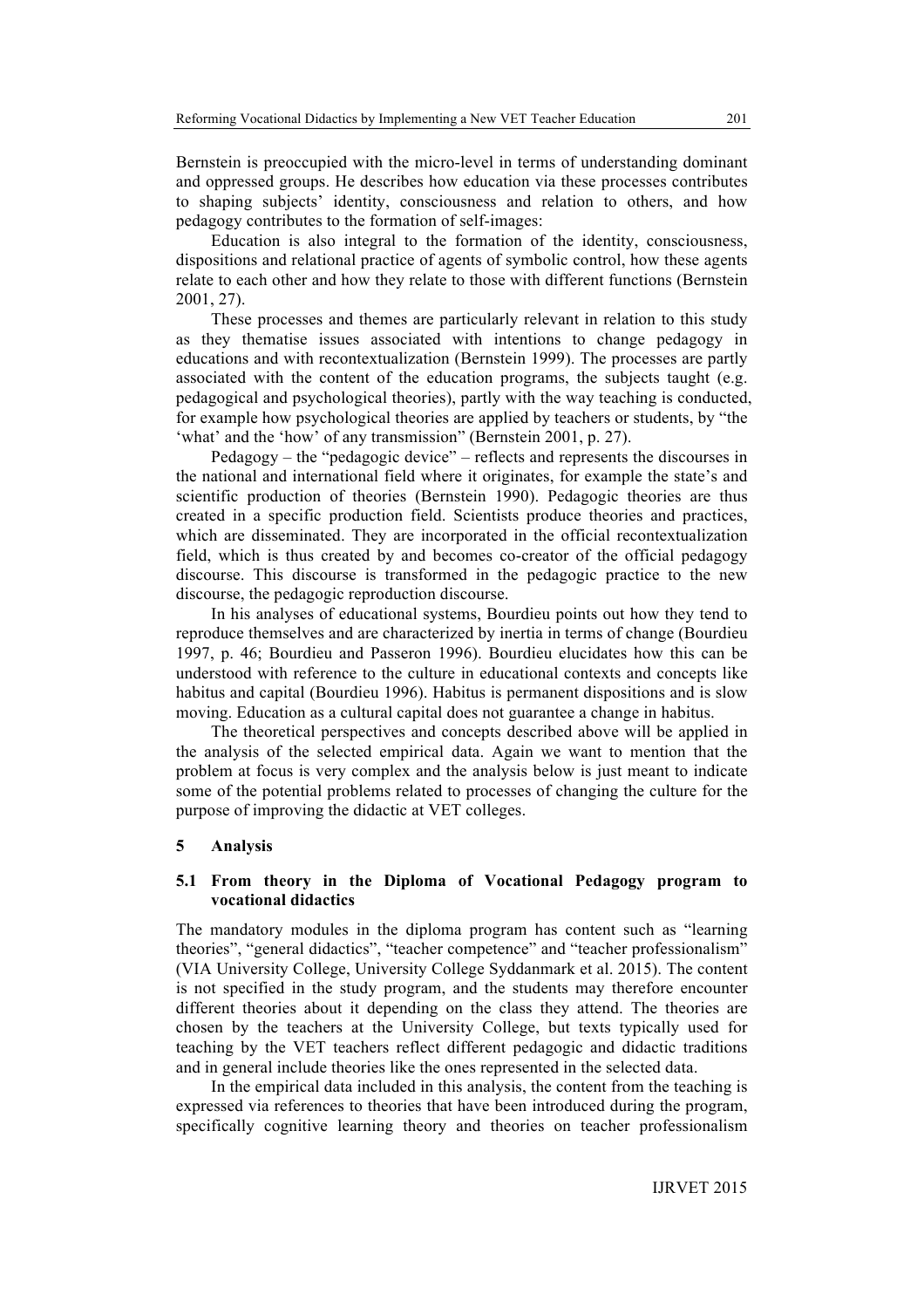Bernstein is preoccupied with the micro-level in terms of understanding dominant and oppressed groups. He describes how education via these processes contributes to shaping subjects' identity, consciousness and relation to others, and how pedagogy contributes to the formation of self-images:

Education is also integral to the formation of the identity, consciousness, dispositions and relational practice of agents of symbolic control, how these agents relate to each other and how they relate to those with different functions (Bernstein 2001, 27).

These processes and themes are particularly relevant in relation to this study as they thematise issues associated with intentions to change pedagogy in educations and with recontextualization (Bernstein 1999). The processes are partly associated with the content of the education programs, the subjects taught (e.g. pedagogical and psychological theories), partly with the way teaching is conducted, for example how psychological theories are applied by teachers or students, by "the 'what' and the 'how' of any transmission" (Bernstein 2001, p. 27).

Pedagogy – the "pedagogic device" – reflects and represents the discourses in the national and international field where it originates, for example the state's and scientific production of theories (Bernstein 1990). Pedagogic theories are thus created in a specific production field. Scientists produce theories and practices, which are disseminated. They are incorporated in the official recontextualization field, which is thus created by and becomes co-creator of the official pedagogy discourse. This discourse is transformed in the pedagogic practice to the new discourse, the pedagogic reproduction discourse.

In his analyses of educational systems, Bourdieu points out how they tend to reproduce themselves and are characterized by inertia in terms of change (Bourdieu 1997, p. 46; Bourdieu and Passeron 1996). Bourdieu elucidates how this can be understood with reference to the culture in educational contexts and concepts like habitus and capital (Bourdieu 1996). Habitus is permanent dispositions and is slow moving. Education as a cultural capital does not guarantee a change in habitus.

The theoretical perspectives and concepts described above will be applied in the analysis of the selected empirical data. Again we want to mention that the problem at focus is very complex and the analysis below is just meant to indicate some of the potential problems related to processes of changing the culture for the purpose of improving the didactic at VET colleges.

# **5 Analysis**

# **5.1 From theory in the Diploma of Vocational Pedagogy program to vocational didactics**

The mandatory modules in the diploma program has content such as "learning theories", "general didactics", "teacher competence" and "teacher professionalism" (VIA University College, University College Syddanmark et al. 2015). The content is not specified in the study program, and the students may therefore encounter different theories about it depending on the class they attend. The theories are chosen by the teachers at the University College, but texts typically used for teaching by the VET teachers reflect different pedagogic and didactic traditions and in general include theories like the ones represented in the selected data.

In the empirical data included in this analysis, the content from the teaching is expressed via references to theories that have been introduced during the program, specifically cognitive learning theory and theories on teacher professionalism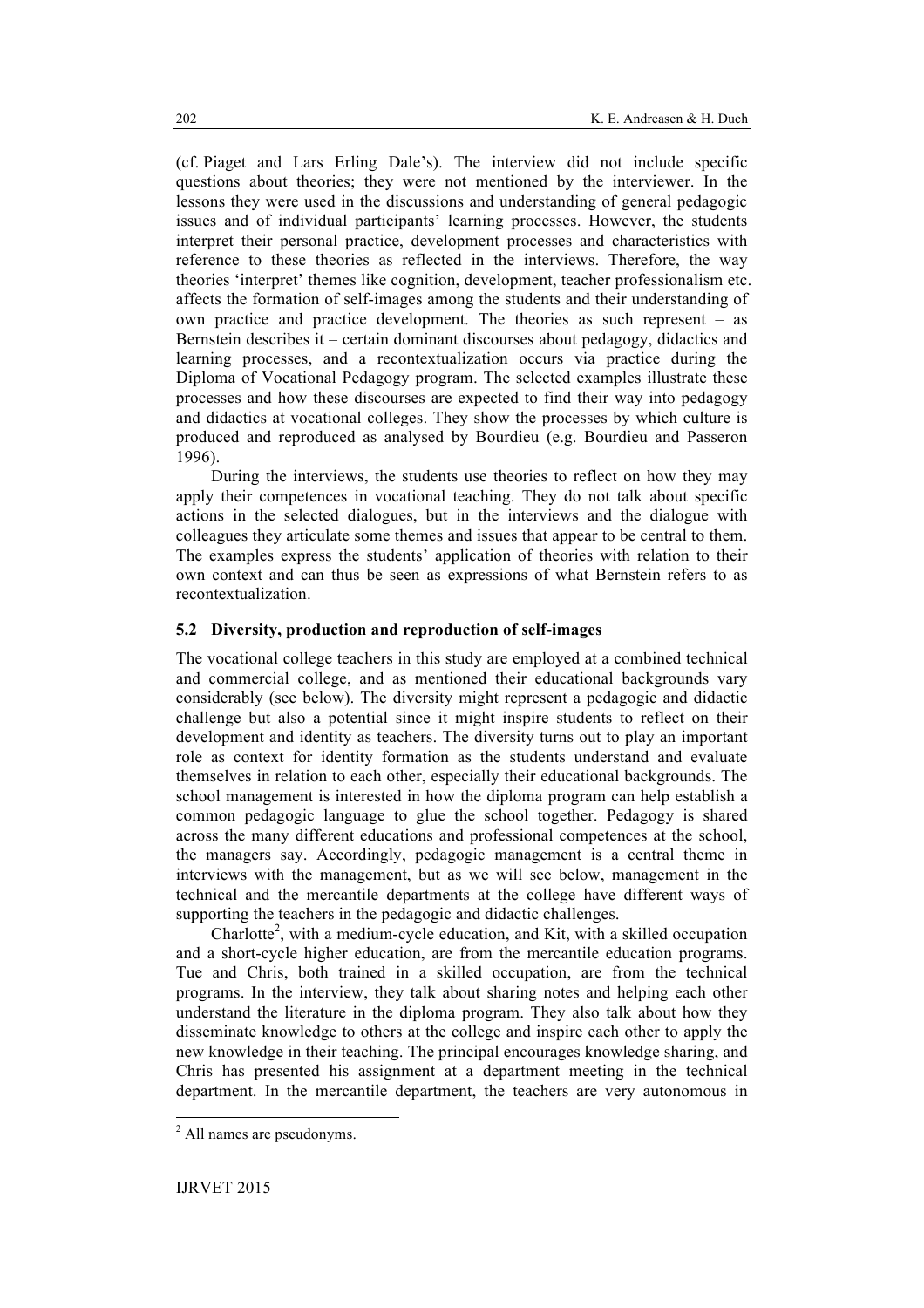(cf. Piaget and Lars Erling Dale's). The interview did not include specific questions about theories; they were not mentioned by the interviewer. In the lessons they were used in the discussions and understanding of general pedagogic issues and of individual participants' learning processes. However, the students interpret their personal practice, development processes and characteristics with reference to these theories as reflected in the interviews. Therefore, the way theories 'interpret' themes like cognition, development, teacher professionalism etc. affects the formation of self-images among the students and their understanding of own practice and practice development. The theories as such represent – as Bernstein describes it – certain dominant discourses about pedagogy, didactics and learning processes, and a recontextualization occurs via practice during the Diploma of Vocational Pedagogy program. The selected examples illustrate these processes and how these discourses are expected to find their way into pedagogy and didactics at vocational colleges. They show the processes by which culture is produced and reproduced as analysed by Bourdieu (e.g. Bourdieu and Passeron 1996).

During the interviews, the students use theories to reflect on how they may apply their competences in vocational teaching. They do not talk about specific actions in the selected dialogues, but in the interviews and the dialogue with colleagues they articulate some themes and issues that appear to be central to them. The examples express the students' application of theories with relation to their own context and can thus be seen as expressions of what Bernstein refers to as recontextualization.

# **5.2 Diversity, production and reproduction of self-images**

The vocational college teachers in this study are employed at a combined technical and commercial college, and as mentioned their educational backgrounds vary considerably (see below). The diversity might represent a pedagogic and didactic challenge but also a potential since it might inspire students to reflect on their development and identity as teachers. The diversity turns out to play an important role as context for identity formation as the students understand and evaluate themselves in relation to each other, especially their educational backgrounds. The school management is interested in how the diploma program can help establish a common pedagogic language to glue the school together. Pedagogy is shared across the many different educations and professional competences at the school, the managers say. Accordingly, pedagogic management is a central theme in interviews with the management, but as we will see below, management in the technical and the mercantile departments at the college have different ways of supporting the teachers in the pedagogic and didactic challenges.

Charlotte<sup>2</sup>, with a medium-cycle education, and Kit, with a skilled occupation and a short-cycle higher education, are from the mercantile education programs. Tue and Chris, both trained in a skilled occupation, are from the technical programs. In the interview, they talk about sharing notes and helping each other understand the literature in the diploma program. They also talk about how they disseminate knowledge to others at the college and inspire each other to apply the new knowledge in their teaching. The principal encourages knowledge sharing, and Chris has presented his assignment at a department meeting in the technical department. In the mercantile department, the teachers are very autonomous in

 <sup>2</sup> All names are pseudonyms.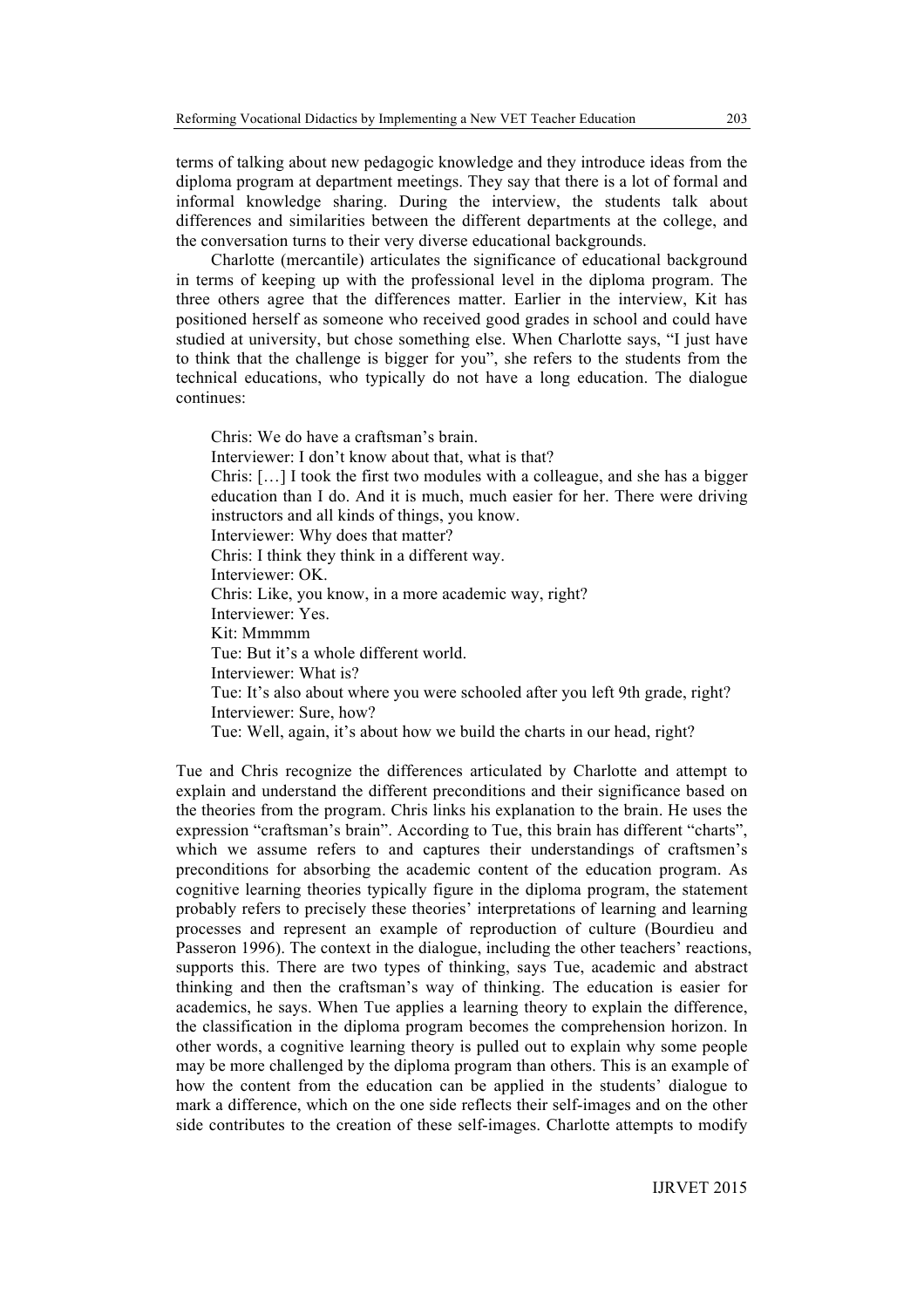terms of talking about new pedagogic knowledge and they introduce ideas from the diploma program at department meetings. They say that there is a lot of formal and informal knowledge sharing. During the interview, the students talk about differences and similarities between the different departments at the college, and the conversation turns to their very diverse educational backgrounds.

Charlotte (mercantile) articulates the significance of educational background in terms of keeping up with the professional level in the diploma program. The three others agree that the differences matter. Earlier in the interview, Kit has positioned herself as someone who received good grades in school and could have studied at university, but chose something else. When Charlotte says, "I just have to think that the challenge is bigger for you", she refers to the students from the technical educations, who typically do not have a long education. The dialogue continues:

Chris: We do have a craftsman's brain. Interviewer: I don't know about that, what is that? Chris: […] I took the first two modules with a colleague, and she has a bigger education than I do. And it is much, much easier for her. There were driving instructors and all kinds of things, you know. Interviewer: Why does that matter? Chris: I think they think in a different way. Interviewer: OK. Chris: Like, you know, in a more academic way, right? Interviewer: Yes. Kit: Mmmmm Tue: But it's a whole different world. Interviewer: What is? Tue: It's also about where you were schooled after you left 9th grade, right? Interviewer: Sure, how? Tue: Well, again, it's about how we build the charts in our head, right?

Tue and Chris recognize the differences articulated by Charlotte and attempt to explain and understand the different preconditions and their significance based on the theories from the program. Chris links his explanation to the brain. He uses the expression "craftsman's brain". According to Tue, this brain has different "charts", which we assume refers to and captures their understandings of craftsmen's preconditions for absorbing the academic content of the education program. As cognitive learning theories typically figure in the diploma program, the statement probably refers to precisely these theories' interpretations of learning and learning processes and represent an example of reproduction of culture (Bourdieu and Passeron 1996). The context in the dialogue, including the other teachers' reactions, supports this. There are two types of thinking, says Tue, academic and abstract thinking and then the craftsman's way of thinking. The education is easier for academics, he says. When Tue applies a learning theory to explain the difference, the classification in the diploma program becomes the comprehension horizon. In other words, a cognitive learning theory is pulled out to explain why some people may be more challenged by the diploma program than others. This is an example of how the content from the education can be applied in the students' dialogue to mark a difference, which on the one side reflects their self-images and on the other side contributes to the creation of these self-images. Charlotte attempts to modify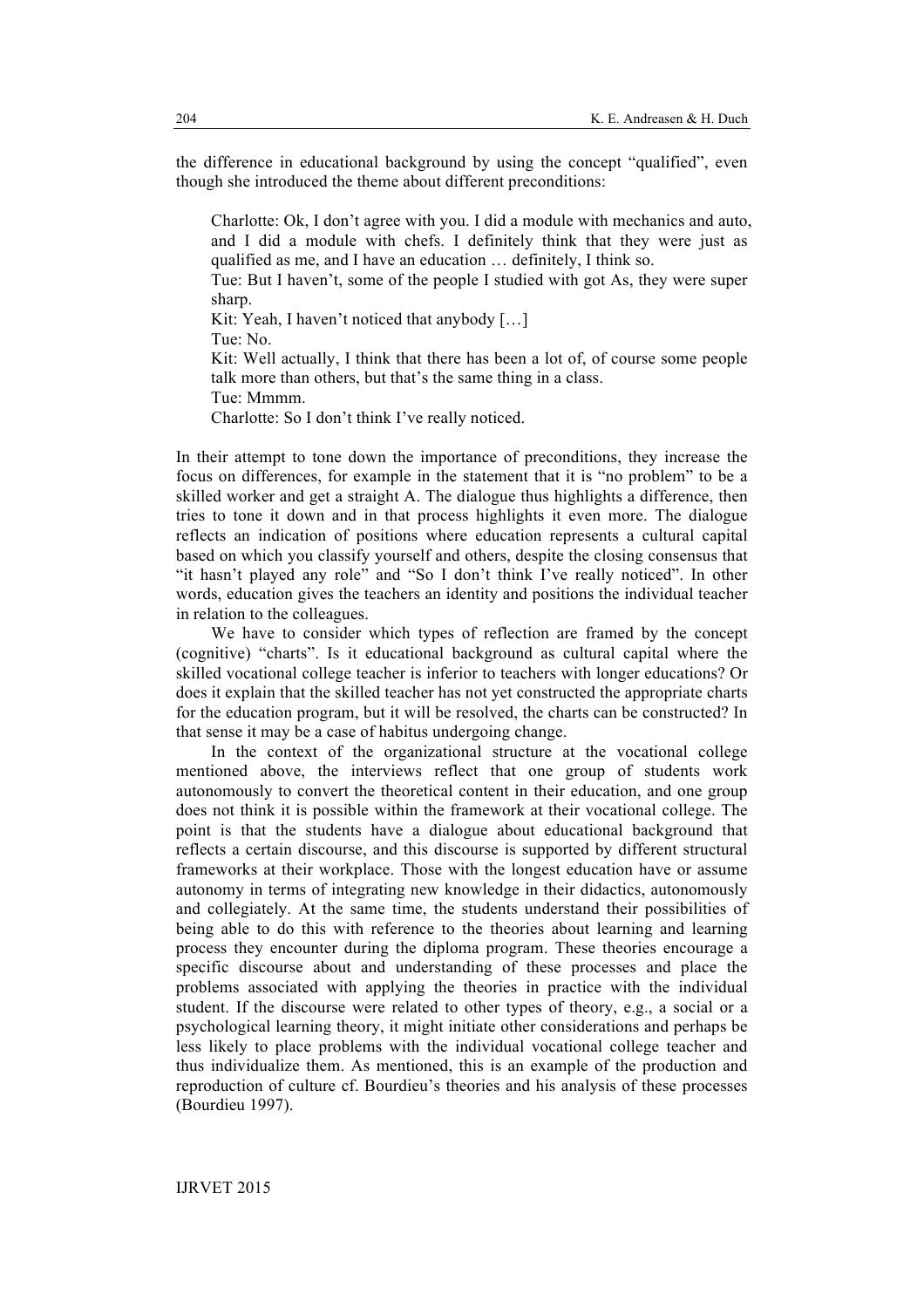the difference in educational background by using the concept "qualified", even though she introduced the theme about different preconditions:

Charlotte: Ok, I don't agree with you. I did a module with mechanics and auto, and I did a module with chefs. I definitely think that they were just as qualified as me, and I have an education … definitely, I think so.

Tue: But I haven't, some of the people I studied with got As, they were super sharp.

Kit: Yeah, I haven't noticed that anybody [...]

Tue: No.

Kit: Well actually, I think that there has been a lot of, of course some people talk more than others, but that's the same thing in a class.

Tue: Mmmm.

Charlotte: So I don't think I've really noticed.

In their attempt to tone down the importance of preconditions, they increase the focus on differences, for example in the statement that it is "no problem" to be a skilled worker and get a straight A. The dialogue thus highlights a difference, then tries to tone it down and in that process highlights it even more. The dialogue reflects an indication of positions where education represents a cultural capital based on which you classify yourself and others, despite the closing consensus that "it hasn't played any role" and "So I don't think I've really noticed". In other words, education gives the teachers an identity and positions the individual teacher in relation to the colleagues.

We have to consider which types of reflection are framed by the concept (cognitive) "charts". Is it educational background as cultural capital where the skilled vocational college teacher is inferior to teachers with longer educations? Or does it explain that the skilled teacher has not yet constructed the appropriate charts for the education program, but it will be resolved, the charts can be constructed? In that sense it may be a case of habitus undergoing change.

In the context of the organizational structure at the vocational college mentioned above, the interviews reflect that one group of students work autonomously to convert the theoretical content in their education, and one group does not think it is possible within the framework at their vocational college. The point is that the students have a dialogue about educational background that reflects a certain discourse, and this discourse is supported by different structural frameworks at their workplace. Those with the longest education have or assume autonomy in terms of integrating new knowledge in their didactics, autonomously and collegiately. At the same time, the students understand their possibilities of being able to do this with reference to the theories about learning and learning process they encounter during the diploma program. These theories encourage a specific discourse about and understanding of these processes and place the problems associated with applying the theories in practice with the individual student. If the discourse were related to other types of theory, e.g., a social or a psychological learning theory, it might initiate other considerations and perhaps be less likely to place problems with the individual vocational college teacher and thus individualize them. As mentioned, this is an example of the production and reproduction of culture cf. Bourdieu's theories and his analysis of these processes (Bourdieu 1997).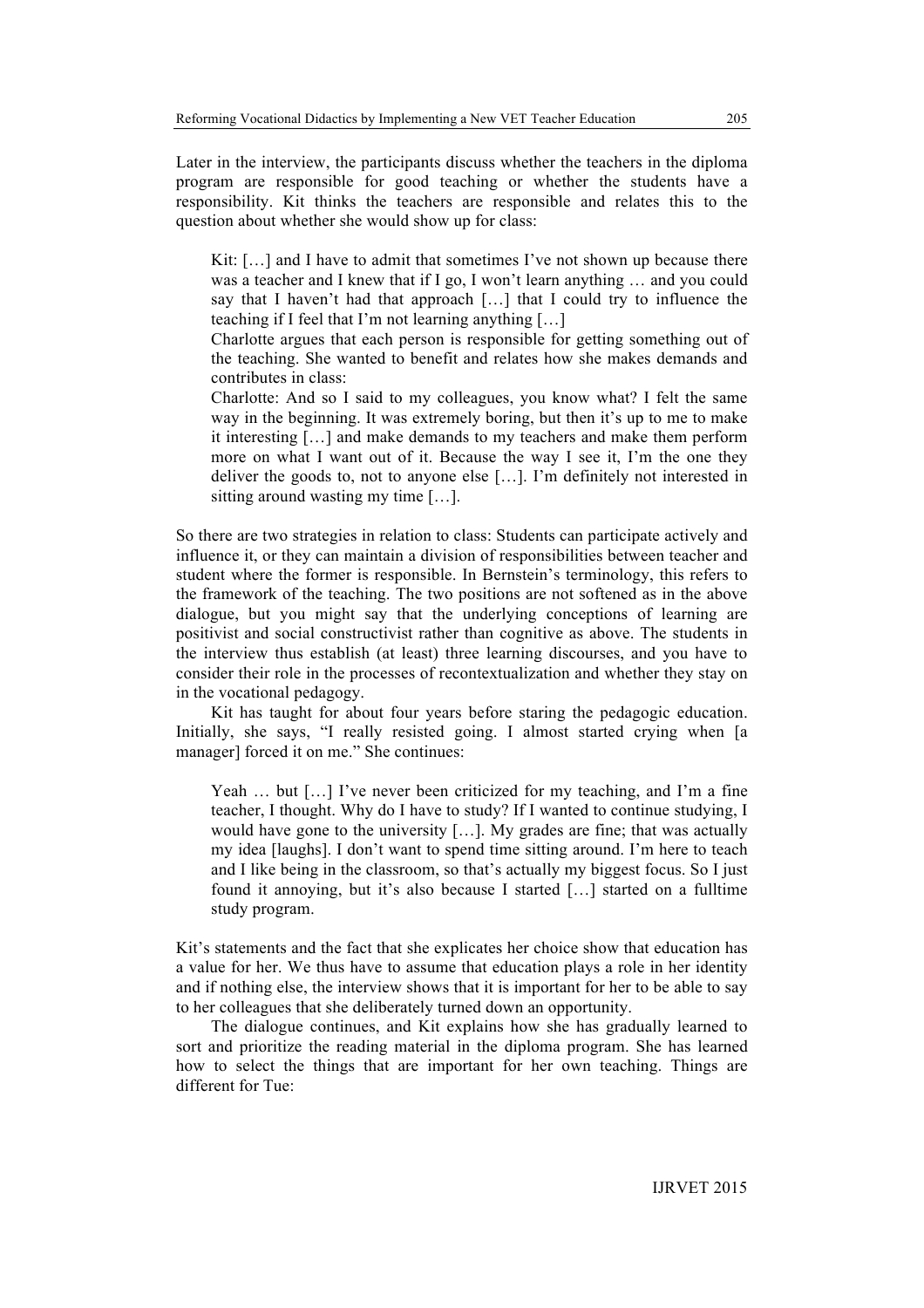Later in the interview, the participants discuss whether the teachers in the diploma program are responsible for good teaching or whether the students have a responsibility. Kit thinks the teachers are responsible and relates this to the question about whether she would show up for class:

Kit: [...] and I have to admit that sometimes I've not shown up because there was a teacher and I knew that if I go, I won't learn anything … and you could say that I haven't had that approach […] that I could try to influence the teaching if I feel that I'm not learning anything […]

Charlotte argues that each person is responsible for getting something out of the teaching. She wanted to benefit and relates how she makes demands and contributes in class:

Charlotte: And so I said to my colleagues, you know what? I felt the same way in the beginning. It was extremely boring, but then it's up to me to make it interesting […] and make demands to my teachers and make them perform more on what I want out of it. Because the way I see it, I'm the one they deliver the goods to, not to anyone else […]. I'm definitely not interested in sitting around wasting my time […].

So there are two strategies in relation to class: Students can participate actively and influence it, or they can maintain a division of responsibilities between teacher and student where the former is responsible. In Bernstein's terminology, this refers to the framework of the teaching. The two positions are not softened as in the above dialogue, but you might say that the underlying conceptions of learning are positivist and social constructivist rather than cognitive as above. The students in the interview thus establish (at least) three learning discourses, and you have to consider their role in the processes of recontextualization and whether they stay on in the vocational pedagogy.

Kit has taught for about four years before staring the pedagogic education. Initially, she says, "I really resisted going. I almost started crying when [a manager] forced it on me." She continues:

Yeah ... but [...] I've never been criticized for my teaching, and I'm a fine teacher, I thought. Why do I have to study? If I wanted to continue studying, I would have gone to the university […]. My grades are fine; that was actually my idea [laughs]. I don't want to spend time sitting around. I'm here to teach and I like being in the classroom, so that's actually my biggest focus. So I just found it annoying, but it's also because I started […] started on a fulltime study program.

Kit's statements and the fact that she explicates her choice show that education has a value for her. We thus have to assume that education plays a role in her identity and if nothing else, the interview shows that it is important for her to be able to say to her colleagues that she deliberately turned down an opportunity.

The dialogue continues, and Kit explains how she has gradually learned to sort and prioritize the reading material in the diploma program. She has learned how to select the things that are important for her own teaching. Things are different for Tue: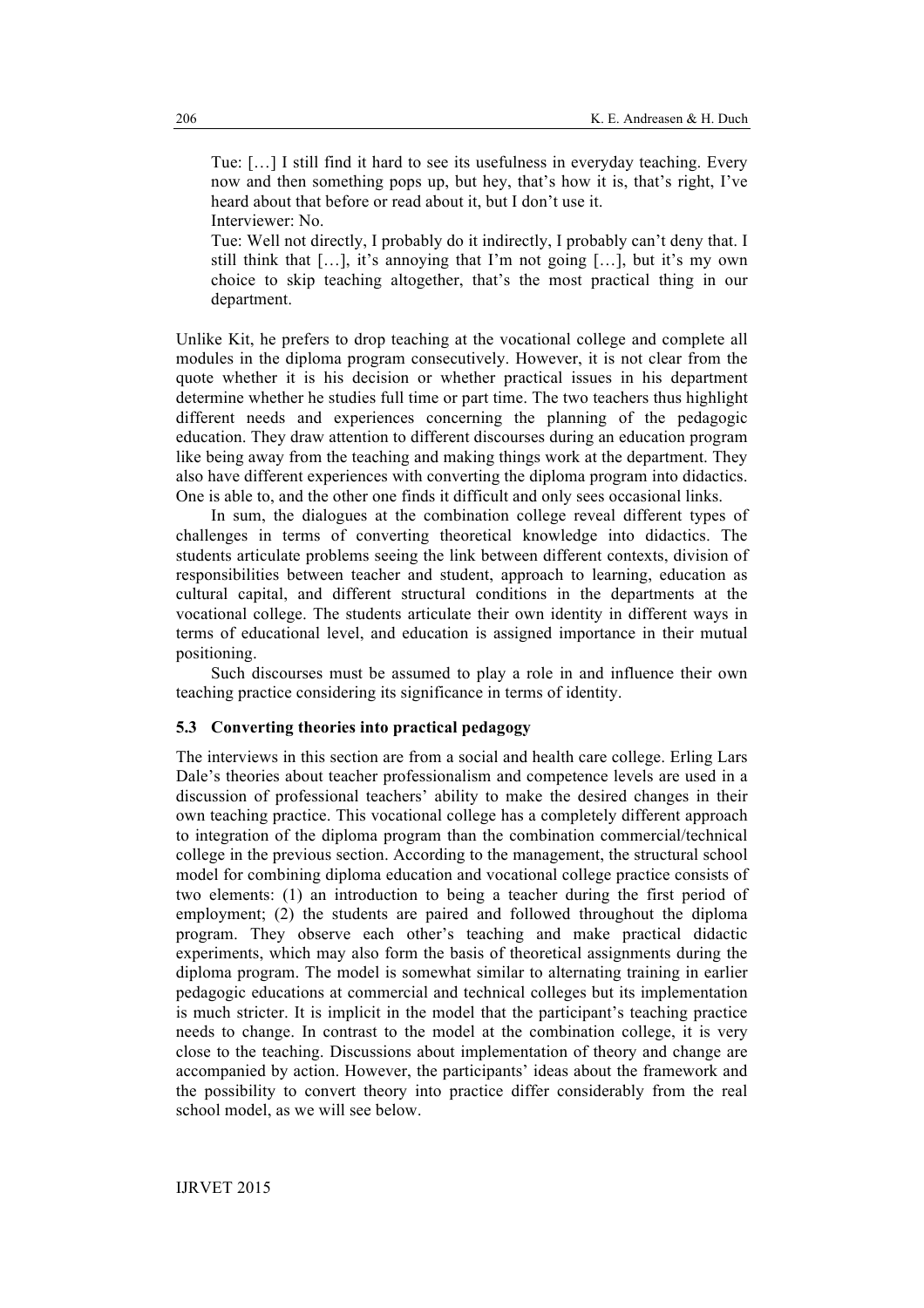Tue: […] I still find it hard to see its usefulness in everyday teaching. Every now and then something pops up, but hey, that's how it is, that's right, I've heard about that before or read about it, but I don't use it. Interviewer: No.

Tue: Well not directly, I probably do it indirectly, I probably can't deny that. I still think that […], it's annoying that I'm not going […], but it's my own choice to skip teaching altogether, that's the most practical thing in our department.

Unlike Kit, he prefers to drop teaching at the vocational college and complete all modules in the diploma program consecutively. However, it is not clear from the quote whether it is his decision or whether practical issues in his department determine whether he studies full time or part time. The two teachers thus highlight different needs and experiences concerning the planning of the pedagogic education. They draw attention to different discourses during an education program like being away from the teaching and making things work at the department. They also have different experiences with converting the diploma program into didactics. One is able to, and the other one finds it difficult and only sees occasional links.

In sum, the dialogues at the combination college reveal different types of challenges in terms of converting theoretical knowledge into didactics. The students articulate problems seeing the link between different contexts, division of responsibilities between teacher and student, approach to learning, education as cultural capital, and different structural conditions in the departments at the vocational college. The students articulate their own identity in different ways in terms of educational level, and education is assigned importance in their mutual positioning.

Such discourses must be assumed to play a role in and influence their own teaching practice considering its significance in terms of identity.

# **5.3 Converting theories into practical pedagogy**

The interviews in this section are from a social and health care college. Erling Lars Dale's theories about teacher professionalism and competence levels are used in a discussion of professional teachers' ability to make the desired changes in their own teaching practice. This vocational college has a completely different approach to integration of the diploma program than the combination commercial/technical college in the previous section. According to the management, the structural school model for combining diploma education and vocational college practice consists of two elements: (1) an introduction to being a teacher during the first period of employment; (2) the students are paired and followed throughout the diploma program. They observe each other's teaching and make practical didactic experiments, which may also form the basis of theoretical assignments during the diploma program. The model is somewhat similar to alternating training in earlier pedagogic educations at commercial and technical colleges but its implementation is much stricter. It is implicit in the model that the participant's teaching practice needs to change. In contrast to the model at the combination college, it is very close to the teaching. Discussions about implementation of theory and change are accompanied by action. However, the participants' ideas about the framework and the possibility to convert theory into practice differ considerably from the real school model, as we will see below.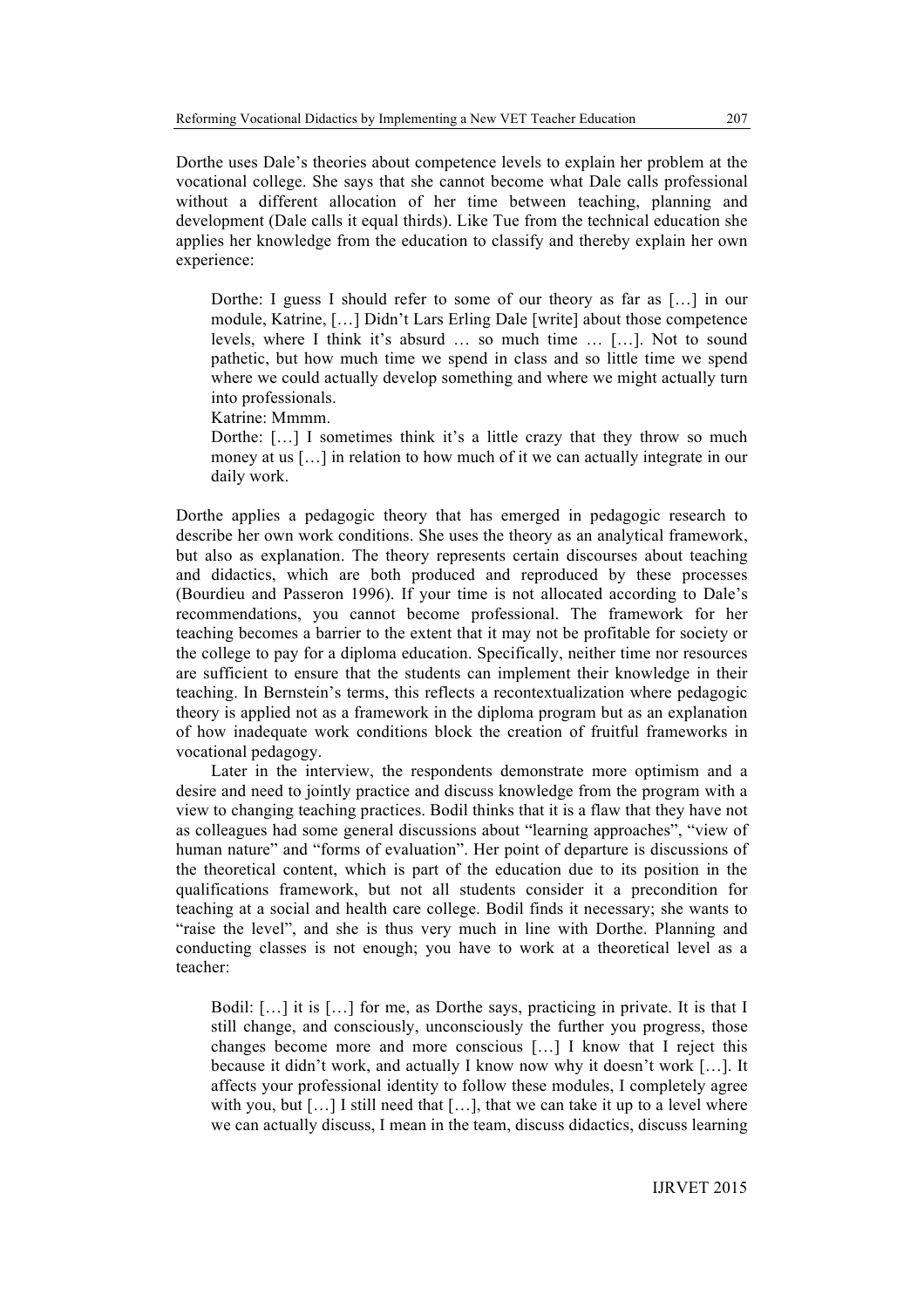Dorthe uses Dale's theories about competence levels to explain her problem at the vocational college. She says that she cannot become what Dale calls professional without a different allocation of her time between teaching, planning and development (Dale calls it equal thirds). Like Tue from the technical education she applies her knowledge from the education to classify and thereby explain her own experience:

Dorthe: I guess I should refer to some of our theory as far as […] in our module, Katrine, […] Didn't Lars Erling Dale [write] about those competence levels, where I think it's absurd … so much time … […]. Not to sound pathetic, but how much time we spend in class and so little time we spend where we could actually develop something and where we might actually turn into professionals.

Katrine: Mmmm.

Dorthe: [...] I sometimes think it's a little crazy that they throw so much money at us […] in relation to how much of it we can actually integrate in our daily work.

Dorthe applies a pedagogic theory that has emerged in pedagogic research to describe her own work conditions. She uses the theory as an analytical framework, but also as explanation. The theory represents certain discourses about teaching and didactics, which are both produced and reproduced by these processes (Bourdieu and Passeron 1996). If your time is not allocated according to Dale's recommendations, you cannot become professional. The framework for her teaching becomes a barrier to the extent that it may not be profitable for society or the college to pay for a diploma education. Specifically, neither time nor resources are sufficient to ensure that the students can implement their knowledge in their teaching. In Bernstein's terms, this reflects a recontextualization where pedagogic theory is applied not as a framework in the diploma program but as an explanation of how inadequate work conditions block the creation of fruitful frameworks in vocational pedagogy.

Later in the interview, the respondents demonstrate more optimism and a desire and need to jointly practice and discuss knowledge from the program with a view to changing teaching practices. Bodil thinks that it is a flaw that they have not as colleagues had some general discussions about "learning approaches", "view of human nature" and "forms of evaluation". Her point of departure is discussions of the theoretical content, which is part of the education due to its position in the qualifications framework, but not all students consider it a precondition for teaching at a social and health care college. Bodil finds it necessary; she wants to "raise the level", and she is thus very much in line with Dorthe. Planning and conducting classes is not enough; you have to work at a theoretical level as a teacher:

Bodil: […] it is […] for me, as Dorthe says, practicing in private. It is that I still change, and consciously, unconsciously the further you progress, those changes become more and more conscious […] I know that I reject this because it didn't work, and actually I know now why it doesn't work […]. It affects your professional identity to follow these modules, I completely agree with you, but [...] I still need that [...], that we can take it up to a level where we can actually discuss, I mean in the team, discuss didactics, discuss learning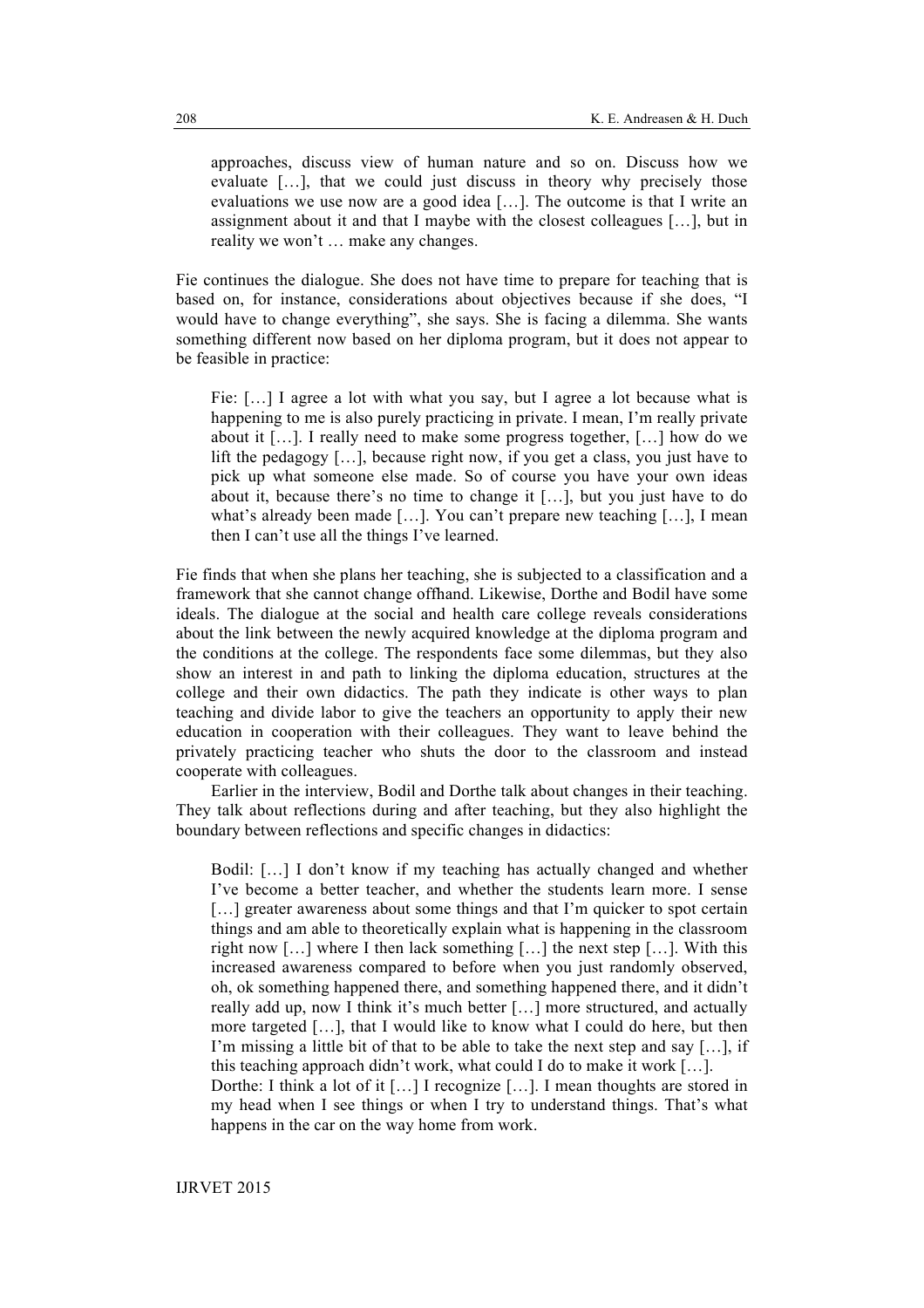approaches, discuss view of human nature and so on. Discuss how we evaluate […], that we could just discuss in theory why precisely those evaluations we use now are a good idea […]. The outcome is that I write an assignment about it and that I maybe with the closest colleagues […], but in reality we won't … make any changes.

Fie continues the dialogue. She does not have time to prepare for teaching that is based on, for instance, considerations about objectives because if she does, "I would have to change everything", she says. She is facing a dilemma. She wants something different now based on her diploma program, but it does not appear to be feasible in practice:

Fie: […] I agree a lot with what you say, but I agree a lot because what is happening to me is also purely practicing in private. I mean, I'm really private about it […]. I really need to make some progress together, […] how do we lift the pedagogy […], because right now, if you get a class, you just have to pick up what someone else made. So of course you have your own ideas about it, because there's no time to change it […], but you just have to do what's already been made [...]. You can't prepare new teaching [...]. I mean then I can't use all the things I've learned.

Fie finds that when she plans her teaching, she is subjected to a classification and a framework that she cannot change offhand. Likewise, Dorthe and Bodil have some ideals. The dialogue at the social and health care college reveals considerations about the link between the newly acquired knowledge at the diploma program and the conditions at the college. The respondents face some dilemmas, but they also show an interest in and path to linking the diploma education, structures at the college and their own didactics. The path they indicate is other ways to plan teaching and divide labor to give the teachers an opportunity to apply their new education in cooperation with their colleagues. They want to leave behind the privately practicing teacher who shuts the door to the classroom and instead cooperate with colleagues.

Earlier in the interview, Bodil and Dorthe talk about changes in their teaching. They talk about reflections during and after teaching, but they also highlight the boundary between reflections and specific changes in didactics:

Bodil: […] I don't know if my teaching has actually changed and whether I've become a better teacher, and whether the students learn more. I sense [...] greater awareness about some things and that I'm quicker to spot certain things and am able to theoretically explain what is happening in the classroom right now […] where I then lack something […] the next step […]. With this increased awareness compared to before when you just randomly observed, oh, ok something happened there, and something happened there, and it didn't really add up, now I think it's much better […] more structured, and actually more targeted […], that I would like to know what I could do here, but then I'm missing a little bit of that to be able to take the next step and say […], if this teaching approach didn't work, what could I do to make it work […].

Dorthe: I think a lot of it […] I recognize […]. I mean thoughts are stored in my head when I see things or when I try to understand things. That's what happens in the car on the way home from work.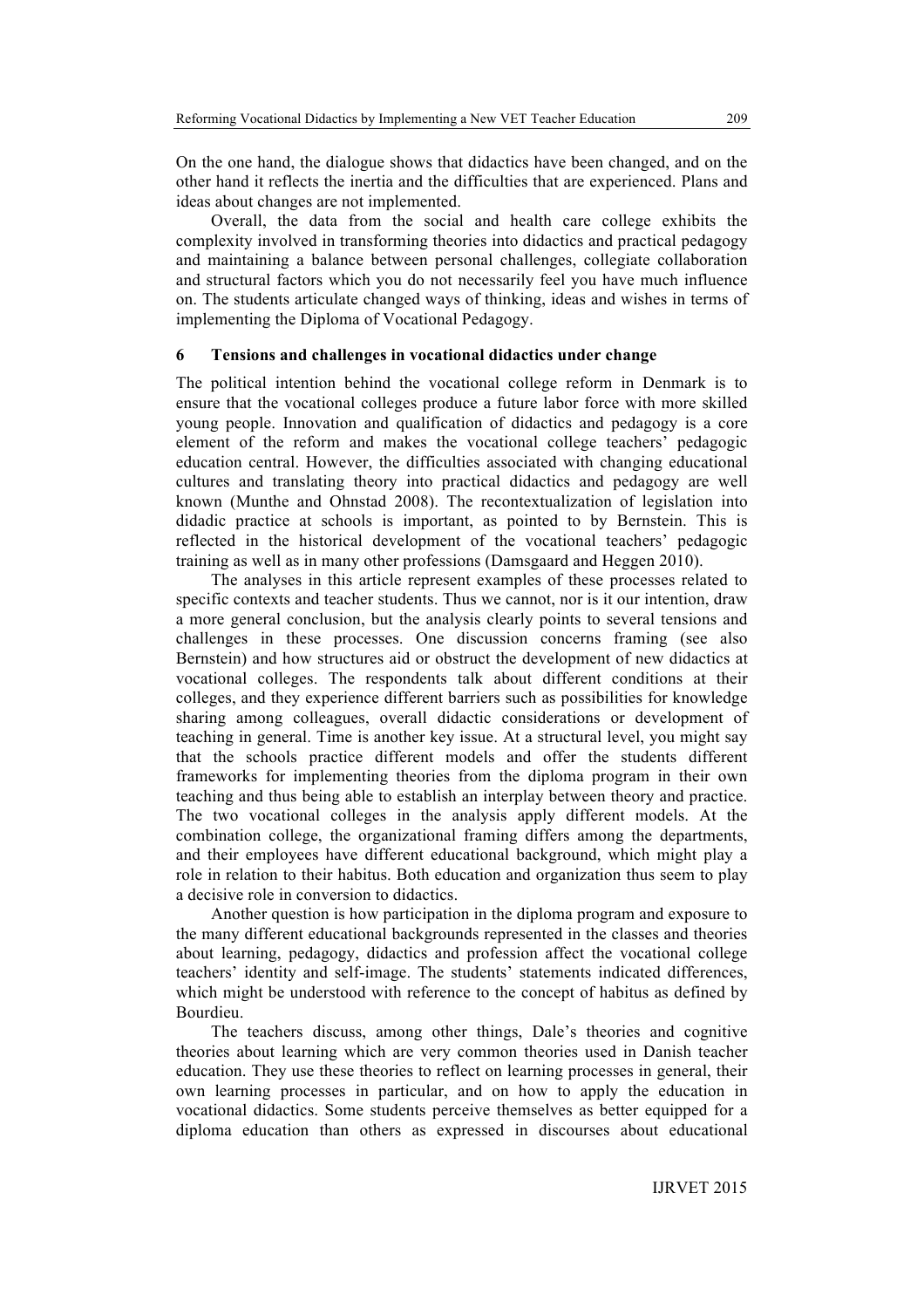On the one hand, the dialogue shows that didactics have been changed, and on the other hand it reflects the inertia and the difficulties that are experienced. Plans and ideas about changes are not implemented.

Overall, the data from the social and health care college exhibits the complexity involved in transforming theories into didactics and practical pedagogy and maintaining a balance between personal challenges, collegiate collaboration and structural factors which you do not necessarily feel you have much influence on. The students articulate changed ways of thinking, ideas and wishes in terms of implementing the Diploma of Vocational Pedagogy.

## **6 Tensions and challenges in vocational didactics under change**

The political intention behind the vocational college reform in Denmark is to ensure that the vocational colleges produce a future labor force with more skilled young people. Innovation and qualification of didactics and pedagogy is a core element of the reform and makes the vocational college teachers' pedagogic education central. However, the difficulties associated with changing educational cultures and translating theory into practical didactics and pedagogy are well known (Munthe and Ohnstad 2008). The recontextualization of legislation into didadic practice at schools is important, as pointed to by Bernstein. This is reflected in the historical development of the vocational teachers' pedagogic training as well as in many other professions (Damsgaard and Heggen 2010).

The analyses in this article represent examples of these processes related to specific contexts and teacher students. Thus we cannot, nor is it our intention, draw a more general conclusion, but the analysis clearly points to several tensions and challenges in these processes. One discussion concerns framing (see also Bernstein) and how structures aid or obstruct the development of new didactics at vocational colleges. The respondents talk about different conditions at their colleges, and they experience different barriers such as possibilities for knowledge sharing among colleagues, overall didactic considerations or development of teaching in general. Time is another key issue. At a structural level, you might say that the schools practice different models and offer the students different frameworks for implementing theories from the diploma program in their own teaching and thus being able to establish an interplay between theory and practice. The two vocational colleges in the analysis apply different models. At the combination college, the organizational framing differs among the departments, and their employees have different educational background, which might play a role in relation to their habitus. Both education and organization thus seem to play a decisive role in conversion to didactics.

Another question is how participation in the diploma program and exposure to the many different educational backgrounds represented in the classes and theories about learning, pedagogy, didactics and profession affect the vocational college teachers' identity and self-image. The students' statements indicated differences, which might be understood with reference to the concept of habitus as defined by Bourdieu.

The teachers discuss, among other things, Dale's theories and cognitive theories about learning which are very common theories used in Danish teacher education. They use these theories to reflect on learning processes in general, their own learning processes in particular, and on how to apply the education in vocational didactics. Some students perceive themselves as better equipped for a diploma education than others as expressed in discourses about educational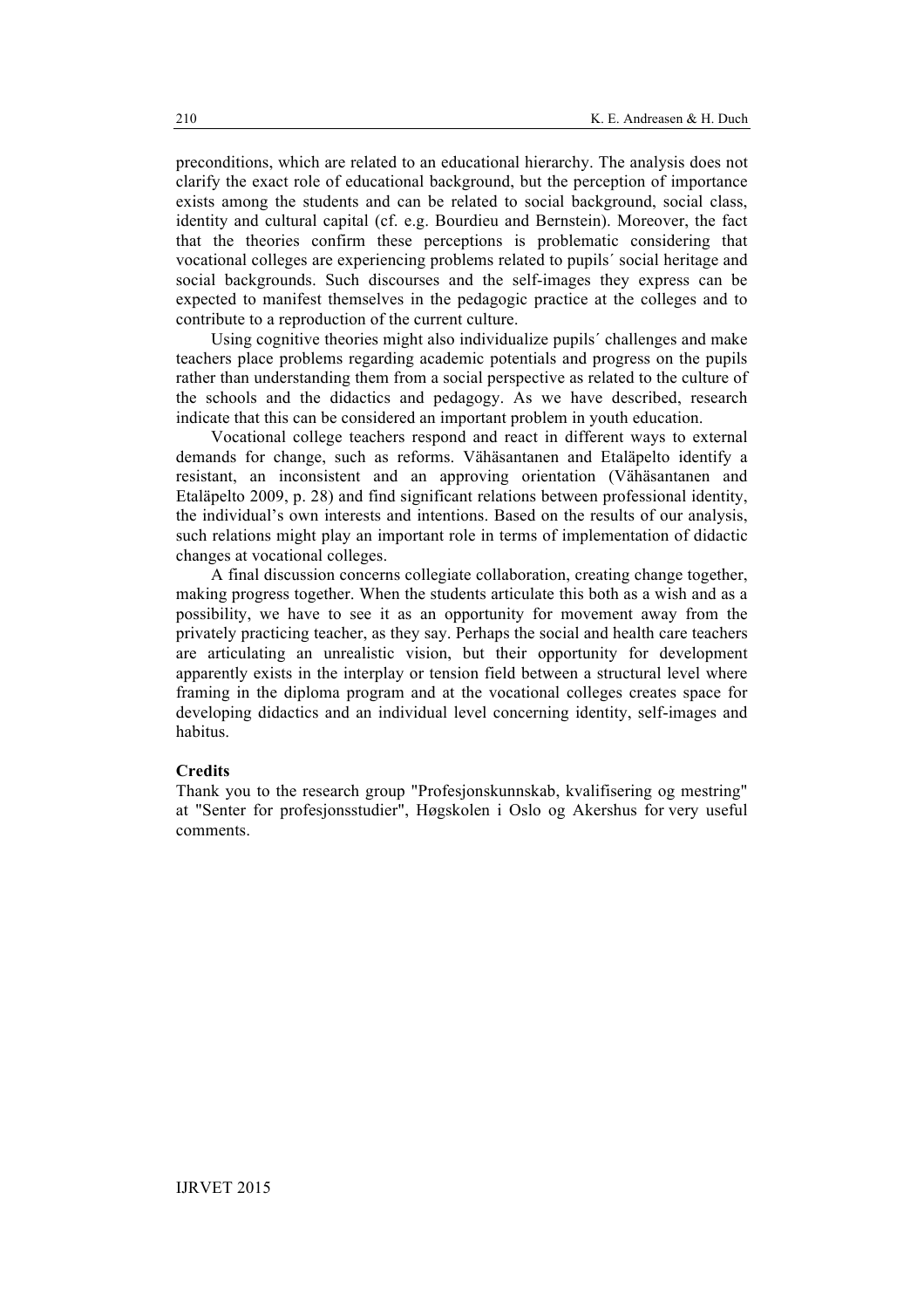preconditions, which are related to an educational hierarchy. The analysis does not clarify the exact role of educational background, but the perception of importance exists among the students and can be related to social background, social class, identity and cultural capital (cf. e.g. Bourdieu and Bernstein). Moreover, the fact that the theories confirm these perceptions is problematic considering that vocational colleges are experiencing problems related to pupils´ social heritage and social backgrounds. Such discourses and the self-images they express can be expected to manifest themselves in the pedagogic practice at the colleges and to contribute to a reproduction of the current culture.

Using cognitive theories might also individualize pupils´ challenges and make teachers place problems regarding academic potentials and progress on the pupils rather than understanding them from a social perspective as related to the culture of the schools and the didactics and pedagogy. As we have described, research indicate that this can be considered an important problem in youth education.

Vocational college teachers respond and react in different ways to external demands for change, such as reforms. Vähäsantanen and Etaläpelto identify a resistant, an inconsistent and an approving orientation (Vähäsantanen and Etaläpelto 2009, p. 28) and find significant relations between professional identity, the individual's own interests and intentions. Based on the results of our analysis, such relations might play an important role in terms of implementation of didactic changes at vocational colleges.

A final discussion concerns collegiate collaboration, creating change together, making progress together. When the students articulate this both as a wish and as a possibility, we have to see it as an opportunity for movement away from the privately practicing teacher, as they say. Perhaps the social and health care teachers are articulating an unrealistic vision, but their opportunity for development apparently exists in the interplay or tension field between a structural level where framing in the diploma program and at the vocational colleges creates space for developing didactics and an individual level concerning identity, self-images and habitus.

#### **Credits**

Thank you to the research group "Profesjonskunnskab, kvalifisering og mestring" at "Senter for profesjonsstudier", Høgskolen i Oslo og Akershus for very useful comments.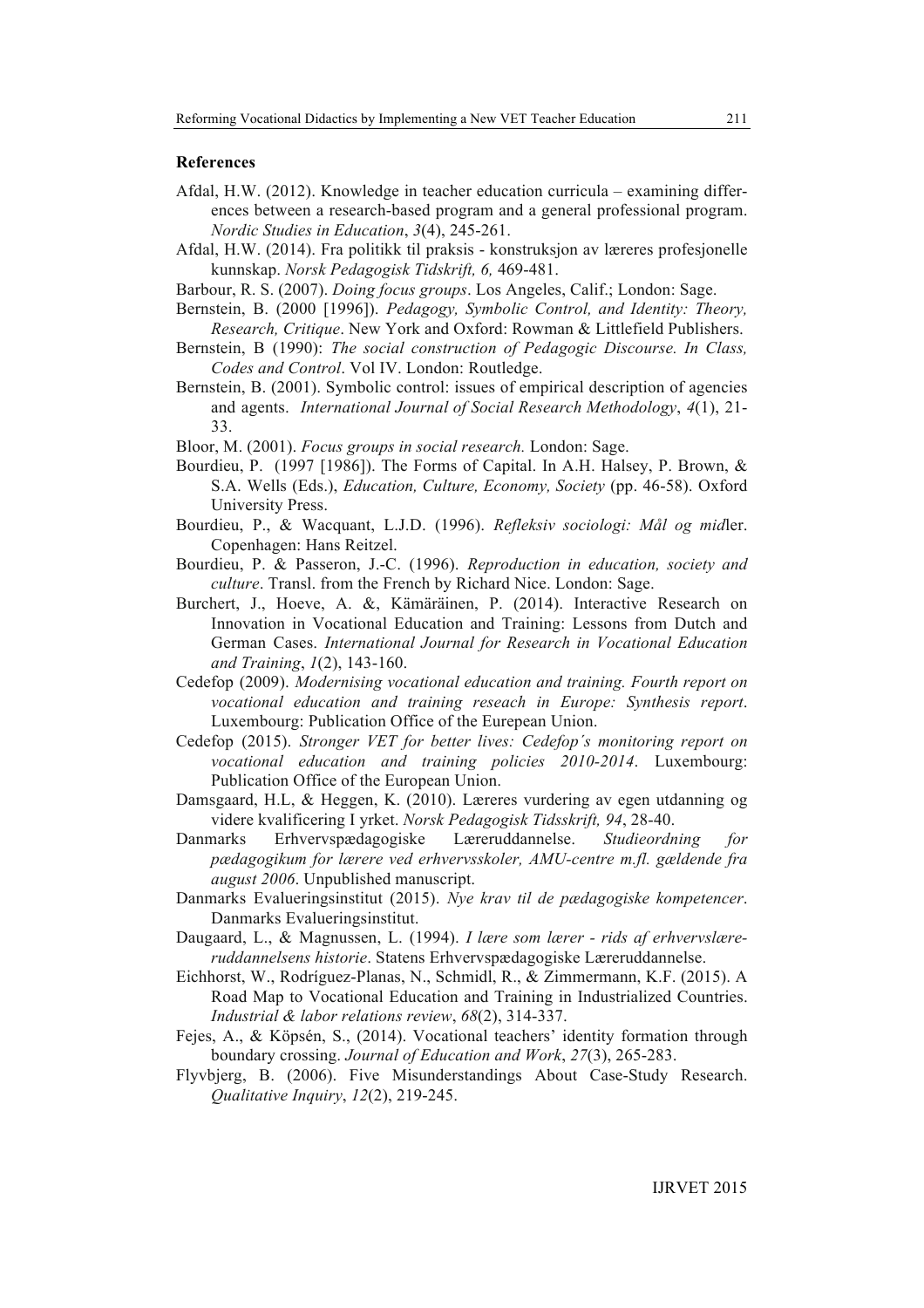# **References**

- Afdal, H.W. (2012). Knowledge in teacher education curricula examining differences between a research-based program and a general professional program. *Nordic Studies in Education*, *3*(4), 245-261.
- Afdal, H.W. (2014). Fra politikk til praksis konstruksjon av læreres profesjonelle kunnskap. *Norsk Pedagogisk Tidskrift, 6,* 469-481.
- Barbour, R. S. (2007). *Doing focus groups*. Los Angeles, Calif.; London: Sage.
- Bernstein, B. (2000 [1996]). *Pedagogy, Symbolic Control, and Identity: Theory, Research, Critique*. New York and Oxford: Rowman & Littlefield Publishers.
- Bernstein, B (1990): *The social construction of Pedagogic Discourse. In Class, Codes and Control*. Vol IV. London: Routledge.
- Bernstein, B. (2001). Symbolic control: issues of empirical description of agencies and agents. *International Journal of Social Research Methodology*, *4*(1), 21- 33.
- Bloor, M. (2001). *Focus groups in social research.* London: Sage.
- Bourdieu, P. (1997 [1986]). The Forms of Capital. In A.H. Halsey, P. Brown, & S.A. Wells (Eds.), *Education, Culture, Economy, Society* (pp. 46-58). Oxford University Press.
- Bourdieu, P., & Wacquant, L.J.D. (1996). *Refleksiv sociologi: Mål og mid*ler. Copenhagen: Hans Reitzel.
- Bourdieu, P. & Passeron, J.-C. (1996). *Reproduction in education, society and culture*. Transl. from the French by Richard Nice. London: Sage.
- Burchert, J., Hoeve, A. &, Kämäräinen, P. (2014). Interactive Research on Innovation in Vocational Education and Training: Lessons from Dutch and German Cases. *International Journal for Research in Vocational Education and Training*, *1*(2), 143-160.
- Cedefop (2009). *Modernising vocational education and training. Fourth report on vocational education and training reseach in Europe: Synthesis report*. Luxembourg: Publication Office of the Eurepean Union.
- Cedefop (2015). *Stronger VET for better lives: Cedefop´s monitoring report on vocational education and training policies 2010-2014*. Luxembourg: Publication Office of the European Union.
- Damsgaard, H.L, & Heggen, K. (2010). Læreres vurdering av egen utdanning og videre kvalificering I yrket. *Norsk Pedagogisk Tidsskrift, 94*, 28-40.
- Danmarks Erhvervspædagogiske Læreruddannelse. *Studieordning for pædagogikum for lærere ved erhvervsskoler, AMU-centre m.fl. gældende fra august 2006*. Unpublished manuscript.
- Danmarks Evalueringsinstitut (2015). *Nye krav til de pædagogiske kompetencer*. Danmarks Evalueringsinstitut.
- Daugaard, L., & Magnussen, L. (1994). *I lære som lærer - rids af erhvervslæreruddannelsens historie*. Statens Erhvervspædagogiske Læreruddannelse.
- Eichhorst, W., Rodríguez-Planas, N., Schmidl, R., & Zimmermann, K.F. (2015). A Road Map to Vocational Education and Training in Industrialized Countries. *Industrial & labor relations review*, *68*(2), 314-337.
- Fejes, A., & Köpsén, S., (2014). Vocational teachers' identity formation through boundary crossing. *Journal of Education and Work*, *27*(3), 265-283.
- Flyvbjerg, B. (2006). Five Misunderstandings About Case-Study Research. *Qualitative Inquiry*, *12*(2), 219-245.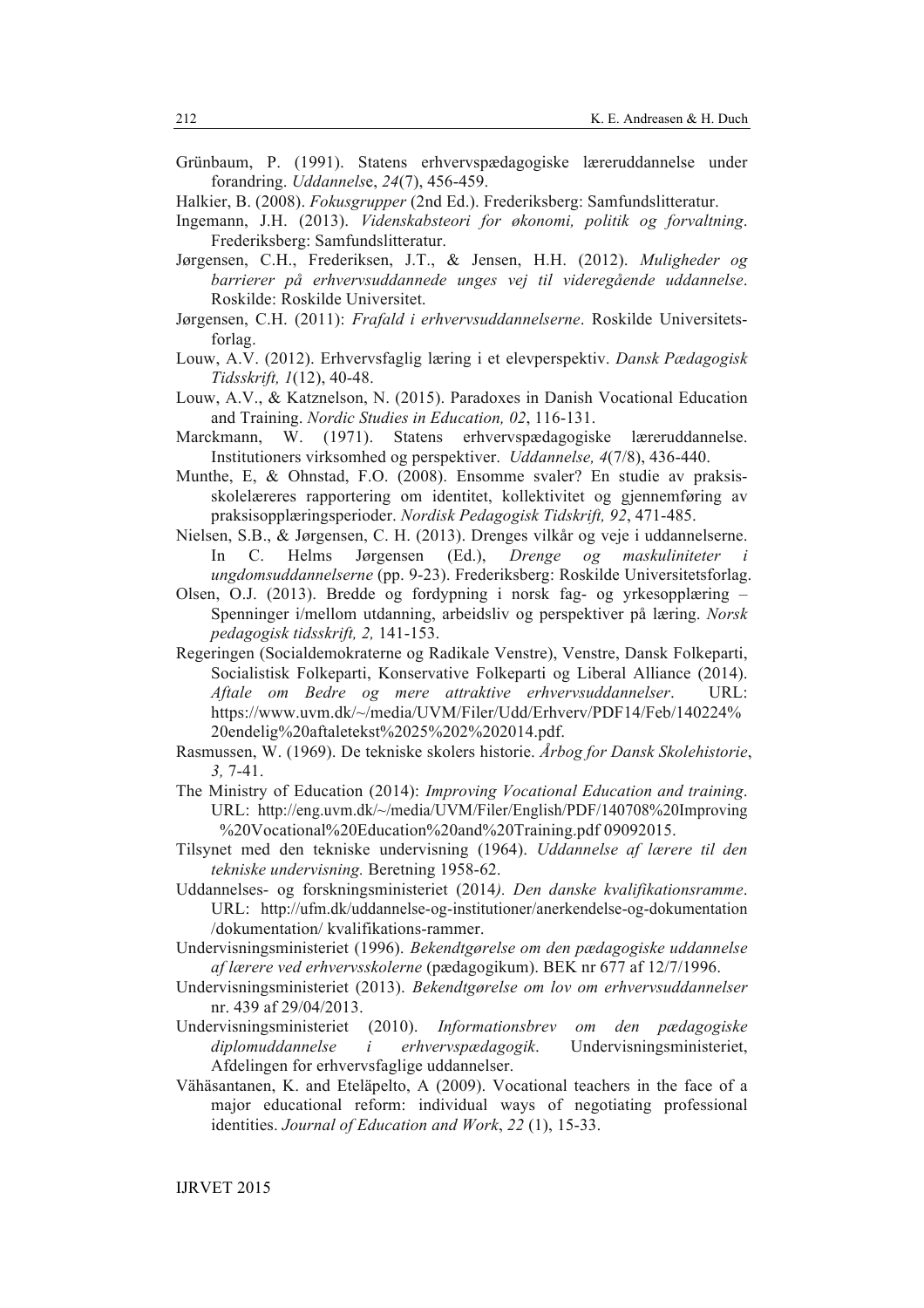- Grünbaum, P. (1991). Statens erhvervspædagogiske læreruddannelse under forandring. *Uddannels*e, *24*(7), 456-459.
- Halkier, B. (2008). *Fokusgrupper* (2nd Ed.). Frederiksberg: Samfundslitteratur.
- Ingemann, J.H. (2013). *Videnskabsteori for økonomi, politik og forvaltning*. Frederiksberg: Samfundslitteratur.
- Jørgensen, C.H., Frederiksen, J.T., & Jensen, H.H. (2012). *Muligheder og barrierer på erhvervsuddannede unges vej til videregående uddannelse*. Roskilde: Roskilde Universitet.
- Jørgensen, C.H. (2011): *Frafald i erhvervsuddannelserne*. Roskilde Universitetsforlag.
- Louw, A.V. (2012). Erhvervsfaglig læring i et elevperspektiv. *Dansk Pædagogisk Tidsskrift, 1*(12), 40-48.
- Louw, A.V., & Katznelson, N. (2015). Paradoxes in Danish Vocational Education and Training. *Nordic Studies in Education, 02*, 116-131.
- Marckmann, W. (1971). Statens erhvervspædagogiske læreruddannelse. Institutioners virksomhed og perspektiver. *Uddannelse, 4*(7/8), 436-440.
- Munthe, E, & Ohnstad, F.O. (2008). Ensomme svaler? En studie av praksisskolelæreres rapportering om identitet, kollektivitet og gjennemføring av praksisopplæringsperioder. *Nordisk Pedagogisk Tidskrift, 92*, 471-485.
- Nielsen, S.B., & Jørgensen, C. H. (2013). Drenges vilkår og veje i uddannelserne. In C. Helms Jørgensen (Ed.), *Drenge og maskuliniteter i ungdomsuddannelserne* (pp. 9-23). Frederiksberg: Roskilde Universitetsforlag.
- Olsen, O.J. (2013). Bredde og fordypning i norsk fag- og yrkesopplæring Spenninger i/mellom utdanning, arbeidsliv og perspektiver på læring. *Norsk pedagogisk tidsskrift, 2,* 141-153.
- Regeringen (Socialdemokraterne og Radikale Venstre), Venstre, Dansk Folkeparti, Socialistisk Folkeparti, Konservative Folkeparti og Liberal Alliance (2014). *Aftale om Bedre og mere attraktive erhvervsuddannelser*. URL: https://www.uvm.dk/~/media/UVM/Filer/Udd/Erhverv/PDF14/Feb/140224% 20endelig%20aftaletekst%2025%202%202014.pdf.
- Rasmussen, W. (1969). De tekniske skolers historie. *Årbog for Dansk Skolehistorie*, *3,* 7-41.
- The Ministry of Education (2014): *Improving Vocational Education and training*. URL: http://eng.uvm.dk/~/media/UVM/Filer/English/PDF/140708%20Improving %20Vocational%20Education%20and%20Training.pdf 09092015.
- Tilsynet med den tekniske undervisning (1964). *Uddannelse af lærere til den tekniske undervisning.* Beretning 1958-62.
- Uddannelses- og forskningsministeriet (2014*). Den danske kvalifikationsramme*. URL: http://ufm.dk/uddannelse-og-institutioner/anerkendelse-og-dokumentation /dokumentation/ kvalifikations-rammer.
- Undervisningsministeriet (1996). *Bekendtgørelse om den pædagogiske uddannelse af lærere ved erhvervsskolerne* (pædagogikum). BEK nr 677 af 12/7/1996.
- Undervisningsministeriet (2013). *Bekendtgørelse om lov om erhvervsuddannelser* nr. 439 af 29/04/2013.
- Undervisningsministeriet (2010). *Informationsbrev om den pædagogiske diplomuddannelse i erhvervspædagogik*. Undervisningsministeriet, Afdelingen for erhvervsfaglige uddannelser.
- Vähäsantanen, K. and Eteläpelto, A (2009). Vocational teachers in the face of a major educational reform: individual ways of negotiating professional identities. *Journal of Education and Work*, *22* (1), 15-33.